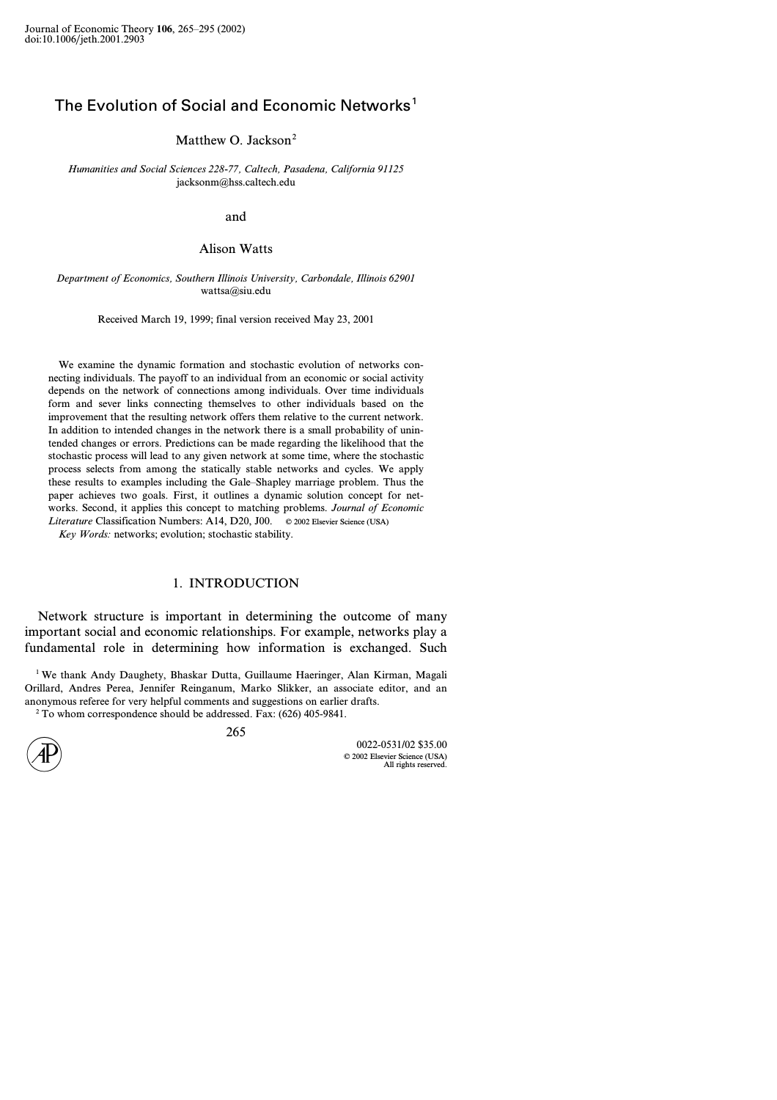# The Evolution of Social and Economic Networks<sup>1</sup>

Matthew O. Jackson<sup>2</sup>

*Humanities and Social Sciences 228-77, Caltech, Pasadena, California 91125* jacksonm@hss.caltech.edu

#### and

## Alison Watts

*Department of Economics, Southern Illinois University, Carbondale, Illinois 62901* wattsa@siu.edu

Received March 19, 1999; final version received May 23, 2001

We examine the dynamic formation and stochastic evolution of networks connecting individuals. The payoff to an individual from an economic or social activity depends on the network of connections among individuals. Over time individuals form and sever links connecting themselves to other individuals based on the improvement that the resulting network offers them relative to the current network. In addition to intended changes in the network there is a small probability of unintended changes or errors. Predictions can be made regarding the likelihood that the stochastic process will lead to any given network at some time, where the stochastic process selects from among the statically stable networks and cycles. We apply these results to examples including the Gale–Shapley marriage problem. Thus the paper achieves two goals. First, it outlines a dynamic solution concept for networks. Second, it applies this concept to matching problems. *Journal of Economic Literature* Classification Numbers: A14, D20, J00. © 2002 Elsevier Science (USA)

*Key Words:* networks; evolution; stochastic stability.

### 1. INTRODUCTION

Network structure is important in determining the outcome of many important social and economic relationships. For example, networks play a fundamental role in determining how information is exchanged. Such

<sup>2</sup> To whom correspondence should be addressed. Fax: (626) 405-9841.



<sup>&</sup>lt;sup>1</sup> We thank Andy Daughety, Bhaskar Dutta, Guillaume Haeringer, Alan Kirman, Magali Orillard, Andres Perea, Jennifer Reinganum, Marko Slikker, an associate editor, and an anonymous referee for very helpful comments and suggestions on earlier drafts.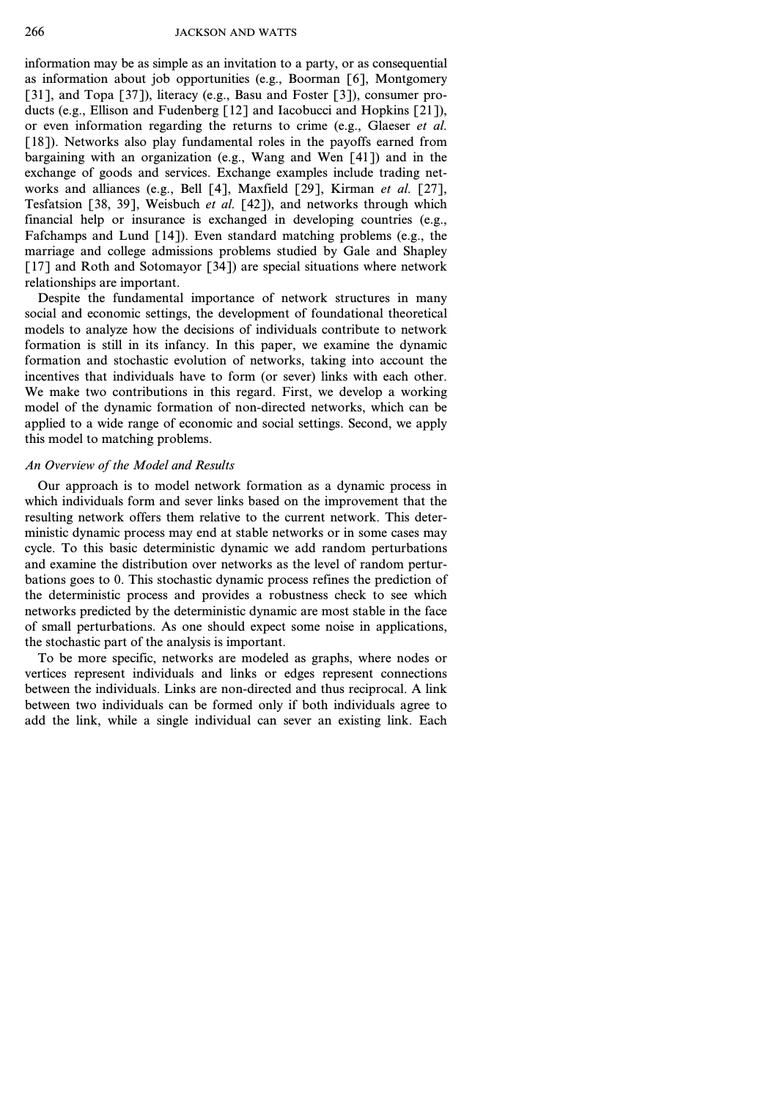information may be as simple as an invitation to a party, or as consequential as information about job opportunities (e.g., Boorman [6], Montgomery [31], and Topa [37]), literacy (e.g., Basu and Foster [3]), consumer products (e.g., Ellison and Fudenberg [12] and Iacobucci and Hopkins [21]), or even information regarding the returns to crime (e.g., Glaeser *et al.* [18]). Networks also play fundamental roles in the payoffs earned from bargaining with an organization (e.g., Wang and Wen [41]) and in the exchange of goods and services. Exchange examples include trading networks and alliances (e.g., Bell [4], Maxfield [29], Kirman *et al.* [27], Tesfatsion [38, 39], Weisbuch *et al.* [42]), and networks through which financial help or insurance is exchanged in developing countries (e.g., Fafchamps and Lund [14]). Even standard matching problems (e.g., the marriage and college admissions problems studied by Gale and Shapley [17] and Roth and Sotomayor [34]) are special situations where network relationships are important.

Despite the fundamental importance of network structures in many social and economic settings, the development of foundational theoretical models to analyze how the decisions of individuals contribute to network formation is still in its infancy. In this paper, we examine the dynamic formation and stochastic evolution of networks, taking into account the incentives that individuals have to form (or sever) links with each other. We make two contributions in this regard. First, we develop a working model of the dynamic formation of non-directed networks, which can be applied to a wide range of economic and social settings. Second, we apply this model to matching problems.

#### *An Overview of the Model and Results*

Our approach is to model network formation as a dynamic process in which individuals form and sever links based on the improvement that the resulting network offers them relative to the current network. This deterministic dynamic process may end at stable networks or in some cases may cycle. To this basic deterministic dynamic we add random perturbations and examine the distribution over networks as the level of random perturbations goes to 0. This stochastic dynamic process refines the prediction of the deterministic process and provides a robustness check to see which networks predicted by the deterministic dynamic are most stable in the face of small perturbations. As one should expect some noise in applications, the stochastic part of the analysis is important.

To be more specific, networks are modeled as graphs, where nodes or vertices represent individuals and links or edges represent connections between the individuals. Links are non-directed and thus reciprocal. A link between two individuals can be formed only if both individuals agree to add the link, while a single individual can sever an existing link. Each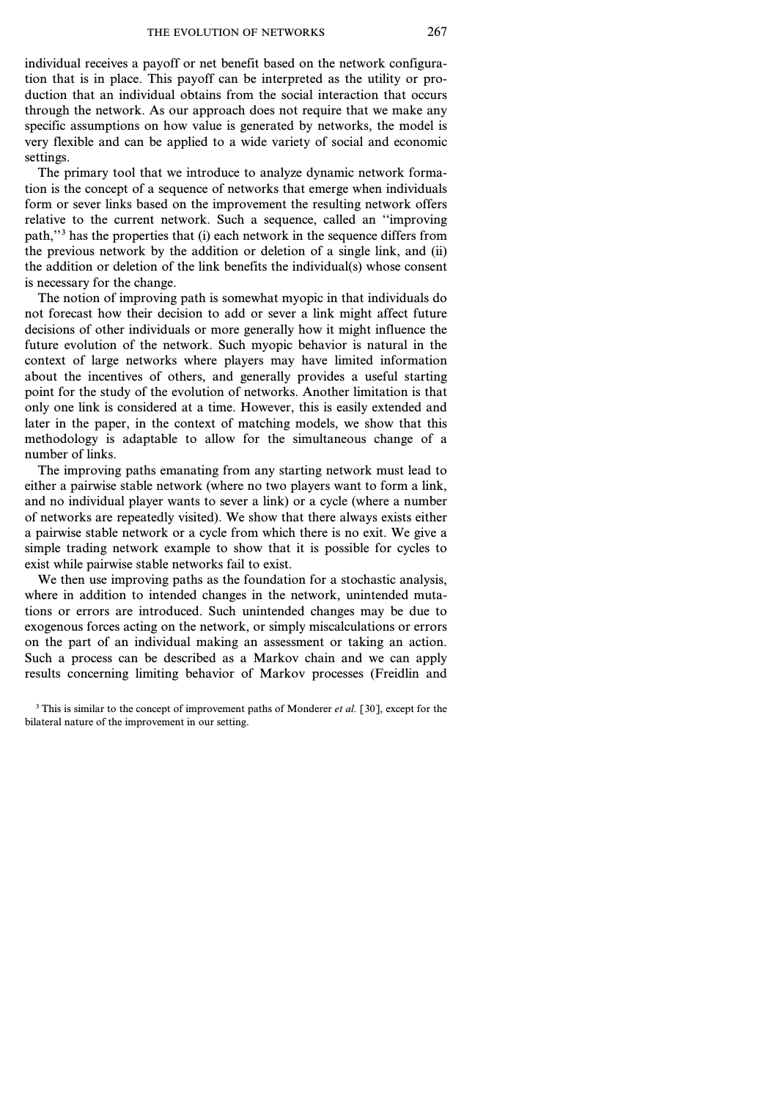individual receives a payoff or net benefit based on the network configuration that is in place. This payoff can be interpreted as the utility or production that an individual obtains from the social interaction that occurs through the network. As our approach does not require that we make any specific assumptions on how value is generated by networks, the model is very flexible and can be applied to a wide variety of social and economic settings.

The primary tool that we introduce to analyze dynamic network formation is the concept of a sequence of networks that emerge when individuals form or sever links based on the improvement the resulting network offers relative to the current network. Such a sequence, called an ''improving path,''<sup>3</sup> has the properties that (i) each network in the sequence differs from the previous network by the addition or deletion of a single link, and (ii) the addition or deletion of the link benefits the individual(s) whose consent is necessary for the change.

The notion of improving path is somewhat myopic in that individuals do not forecast how their decision to add or sever a link might affect future decisions of other individuals or more generally how it might influence the future evolution of the network. Such myopic behavior is natural in the context of large networks where players may have limited information about the incentives of others, and generally provides a useful starting point for the study of the evolution of networks. Another limitation is that only one link is considered at a time. However, this is easily extended and later in the paper, in the context of matching models, we show that this methodology is adaptable to allow for the simultaneous change of a number of links.

The improving paths emanating from any starting network must lead to either a pairwise stable network (where no two players want to form a link, and no individual player wants to sever a link) or a cycle (where a number of networks are repeatedly visited). We show that there always exists either a pairwise stable network or a cycle from which there is no exit. We give a simple trading network example to show that it is possible for cycles to exist while pairwise stable networks fail to exist.

We then use improving paths as the foundation for a stochastic analysis, where in addition to intended changes in the network, unintended mutations or errors are introduced. Such unintended changes may be due to exogenous forces acting on the network, or simply miscalculations or errors on the part of an individual making an assessment or taking an action. Such a process can be described as a Markov chain and we can apply results concerning limiting behavior of Markov processes (Freidlin and

<sup>&</sup>lt;sup>3</sup> This is similar to the concept of improvement paths of Monderer *et al.* [30], except for the bilateral nature of the improvement in our setting.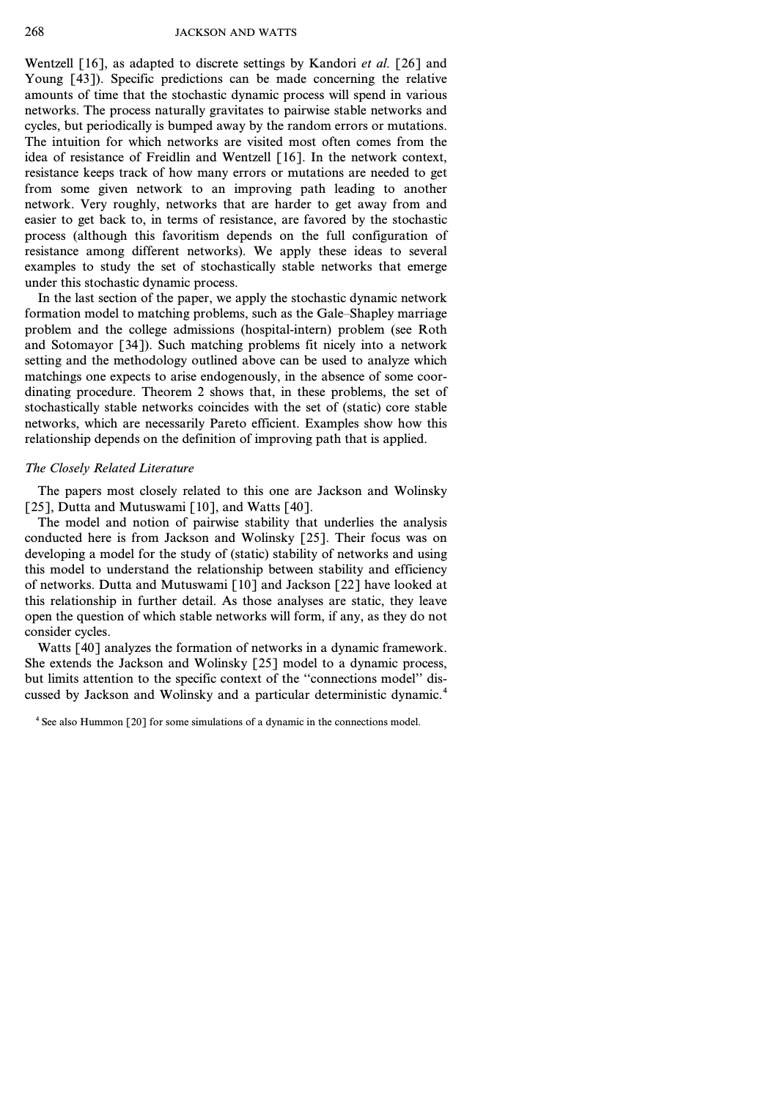Wentzell [16], as adapted to discrete settings by Kandori *et al.* [26] and Young [43]). Specific predictions can be made concerning the relative amounts of time that the stochastic dynamic process will spend in various networks. The process naturally gravitates to pairwise stable networks and cycles, but periodically is bumped away by the random errors or mutations. The intuition for which networks are visited most often comes from the idea of resistance of Freidlin and Wentzell [16]. In the network context, resistance keeps track of how many errors or mutations are needed to get from some given network to an improving path leading to another network. Very roughly, networks that are harder to get away from and easier to get back to, in terms of resistance, are favored by the stochastic process (although this favoritism depends on the full configuration of resistance among different networks). We apply these ideas to several examples to study the set of stochastically stable networks that emerge under this stochastic dynamic process.

In the last section of the paper, we apply the stochastic dynamic network formation model to matching problems, such as the Gale–Shapley marriage problem and the college admissions (hospital-intern) problem (see Roth and Sotomayor [34]). Such matching problems fit nicely into a network setting and the methodology outlined above can be used to analyze which matchings one expects to arise endogenously, in the absence of some coordinating procedure. Theorem 2 shows that, in these problems, the set of stochastically stable networks coincides with the set of (static) core stable networks, which are necessarily Pareto efficient. Examples show how this relationship depends on the definition of improving path that is applied.

### *The Closely Related Literature*

The papers most closely related to this one are Jackson and Wolinsky [25], Dutta and Mutuswami [10], and Watts [40].

The model and notion of pairwise stability that underlies the analysis conducted here is from Jackson and Wolinsky [25]. Their focus was on developing a model for the study of (static) stability of networks and using this model to understand the relationship between stability and efficiency of networks. Dutta and Mutuswami [10] and Jackson [22] have looked at this relationship in further detail. As those analyses are static, they leave open the question of which stable networks will form, if any, as they do not consider cycles.

Watts [40] analyzes the formation of networks in a dynamic framework. She extends the Jackson and Wolinsky [25] model to a dynamic process, but limits attention to the specific context of the ''connections model'' discussed by Jackson and Wolinsky and a particular deterministic dynamic.<sup>4</sup>

<sup>4</sup> See also Hummon [20] for some simulations of a dynamic in the connections model.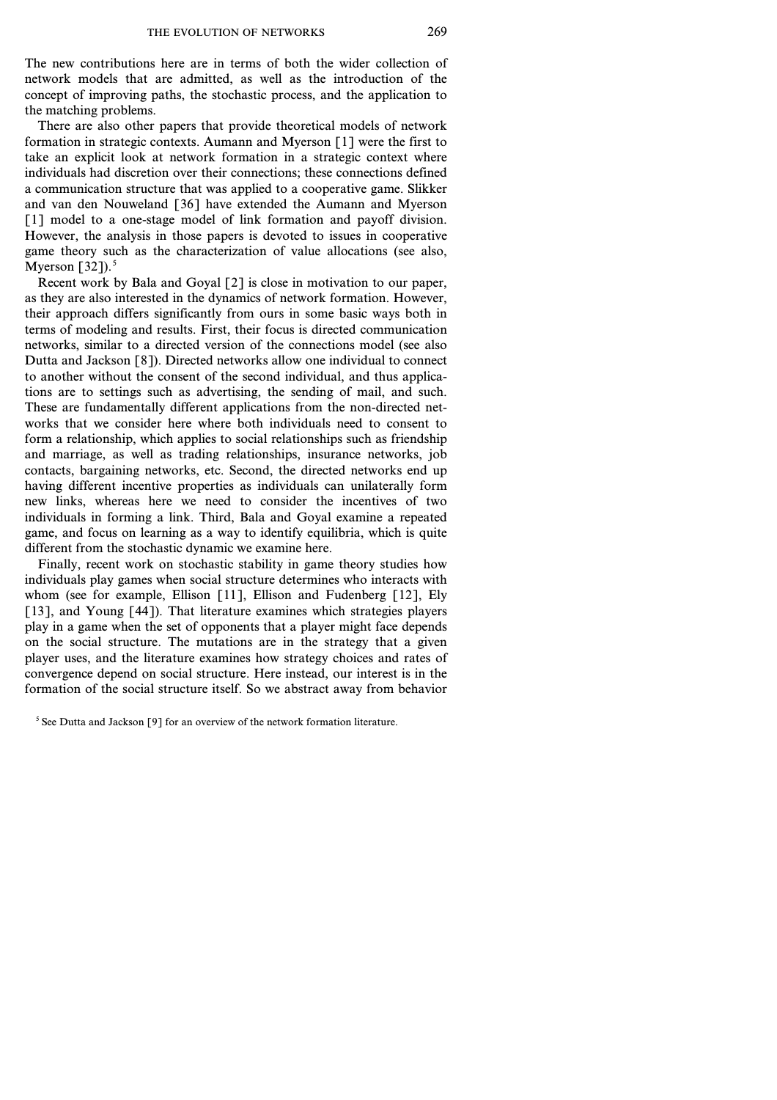The new contributions here are in terms of both the wider collection of network models that are admitted, as well as the introduction of the concept of improving paths, the stochastic process, and the application to the matching problems.

There are also other papers that provide theoretical models of network formation in strategic contexts. Aumann and Myerson [1] were the first to take an explicit look at network formation in a strategic context where individuals had discretion over their connections; these connections defined a communication structure that was applied to a cooperative game. Slikker and van den Nouweland [36] have extended the Aumann and Myerson [1] model to a one-stage model of link formation and payoff division. However, the analysis in those papers is devoted to issues in cooperative game theory such as the characterization of value allocations (see also, Myerson  $[32]$ ).<sup>5</sup>

Recent work by Bala and Goyal [2] is close in motivation to our paper, as they are also interested in the dynamics of network formation. However, their approach differs significantly from ours in some basic ways both in terms of modeling and results. First, their focus is directed communication networks, similar to a directed version of the connections model (see also Dutta and Jackson [8]). Directed networks allow one individual to connect to another without the consent of the second individual, and thus applications are to settings such as advertising, the sending of mail, and such. These are fundamentally different applications from the non-directed networks that we consider here where both individuals need to consent to form a relationship, which applies to social relationships such as friendship and marriage, as well as trading relationships, insurance networks, job contacts, bargaining networks, etc. Second, the directed networks end up having different incentive properties as individuals can unilaterally form new links, whereas here we need to consider the incentives of two individuals in forming a link. Third, Bala and Goyal examine a repeated game, and focus on learning as a way to identify equilibria, which is quite different from the stochastic dynamic we examine here.

Finally, recent work on stochastic stability in game theory studies how individuals play games when social structure determines who interacts with whom (see for example, Ellison [11], Ellison and Fudenberg [12], Ely [13], and Young [44]). That literature examines which strategies players play in a game when the set of opponents that a player might face depends on the social structure. The mutations are in the strategy that a given player uses, and the literature examines how strategy choices and rates of convergence depend on social structure. Here instead, our interest is in the formation of the social structure itself. So we abstract away from behavior

 $5$  See Dutta and Jackson [9] for an overview of the network formation literature.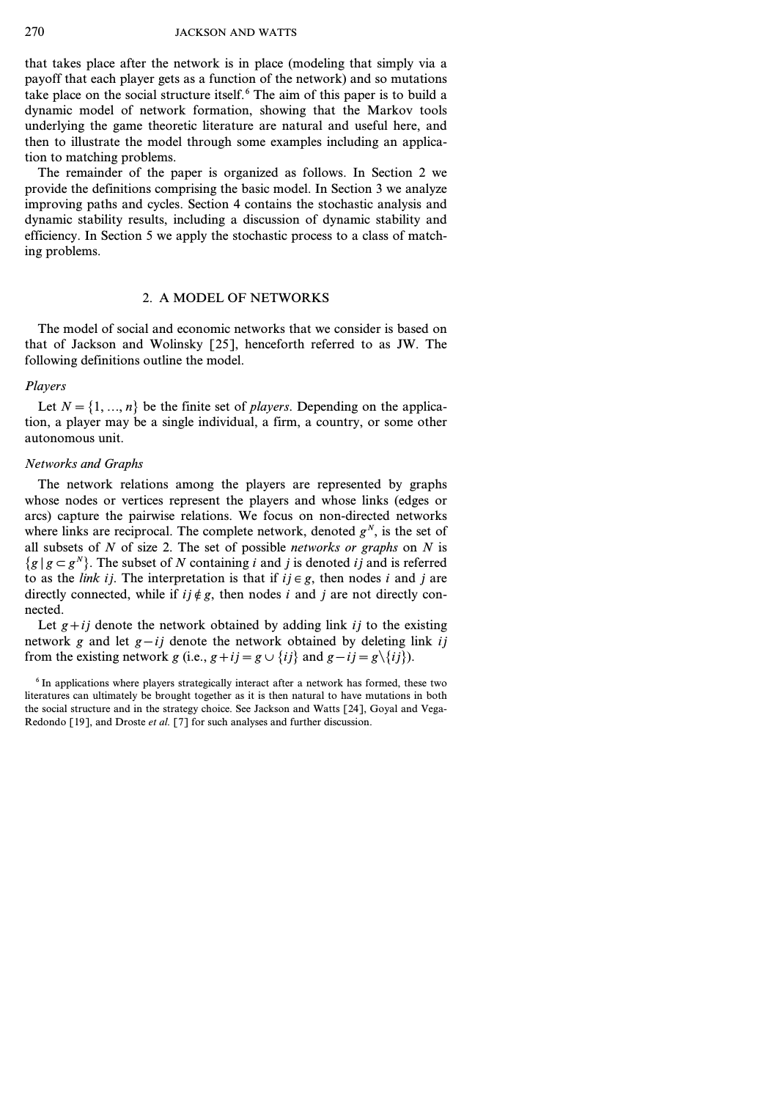that takes place after the network is in place (modeling that simply via a payoff that each player gets as a function of the network) and so mutations take place on the social structure itself. $6$  The aim of this paper is to build a dynamic model of network formation, showing that the Markov tools underlying the game theoretic literature are natural and useful here, and then to illustrate the model through some examples including an application to matching problems.

The remainder of the paper is organized as follows. In Section 2 we provide the definitions comprising the basic model. In Section 3 we analyze improving paths and cycles. Section 4 contains the stochastic analysis and dynamic stability results, including a discussion of dynamic stability and efficiency. In Section 5 we apply the stochastic process to a class of matching problems.

### 2. A MODEL OF NETWORKS

The model of social and economic networks that we consider is based on that of Jackson and Wolinsky [25], henceforth referred to as JW. The following definitions outline the model.

#### *Players*

Let  $N = \{1, ..., n\}$  be the finite set of *players*. Depending on the application, a player may be a single individual, a firm, a country, or some other autonomous unit.

#### *Networks and Graphs*

The network relations among the players are represented by graphs whose nodes or vertices represent the players and whose links (edges or arcs) capture the pairwise relations. We focus on non-directed networks where links are reciprocal. The complete network, denoted  $g<sup>N</sup>$ , is the set of all subsets of *N* of size 2. The set of possible *networks or graphs* on *N* is  ${g | g \subset g^N}$ . The subset of *N* containing *i* and *j* is denoted *i j* and is referred to as the *link ij*. The interpretation is that if  $ij \in g$ , then nodes *i* and *j* are directly connected, while if  $i j \notin g$ , then nodes *i* and *j* are not directly connected.

Let  $g+ij$  denote the network obtained by adding link *ij* to the existing network *g* and let *g − ij* denote the network obtained by deleting link *ij* from the existing network *g* (i.e.,  $g + ij = g \cup \{ij\}$  and  $g - ij = g \setminus \{ij\}$ ).

<sup>&</sup>lt;sup>6</sup> In applications where players strategically interact after a network has formed, these two literatures can ultimately be brought together as it is then natural to have mutations in both the social structure and in the strategy choice. See Jackson and Watts [24], Goyal and Vega-Redondo [19], and Droste *et al.* [7] for such analyses and further discussion.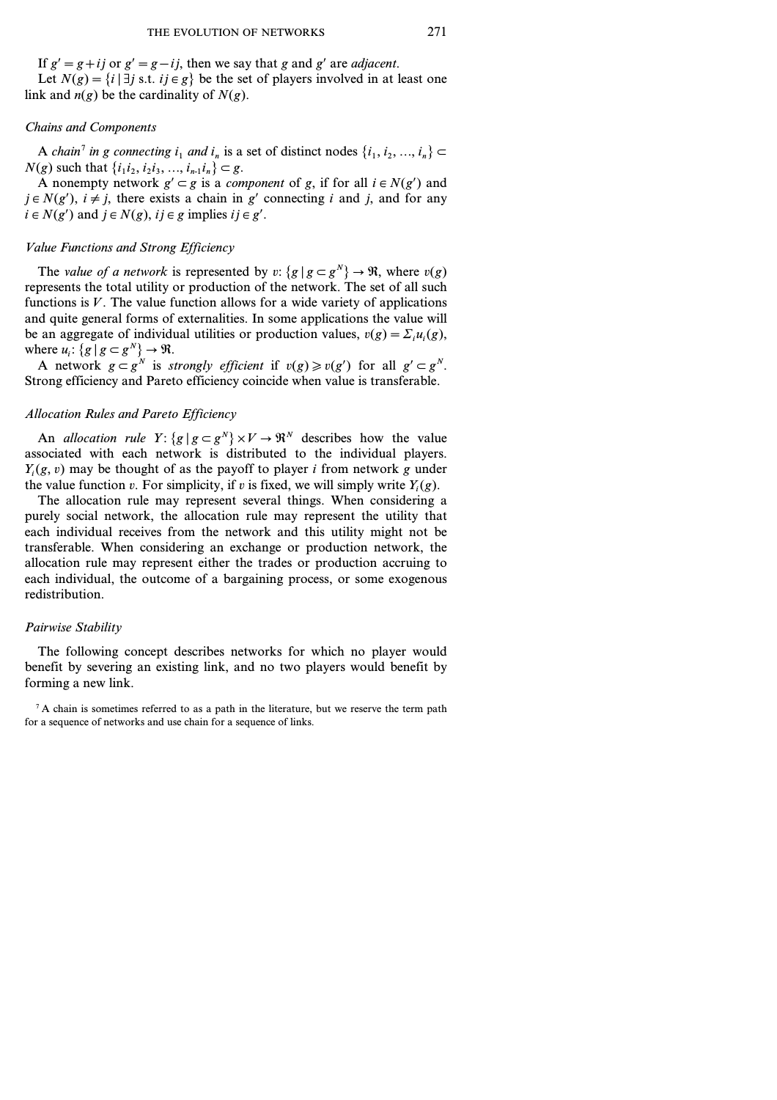If  $g' = g + ij$  or  $g' = g - ij$ , then we say that *g* and *g'* are *adjacent*.

Let  $N(g) = \{i | \exists j \text{ s.t. } ij \in g\}$  be the set of players involved in at least one link and  $n(g)$  be the cardinality of  $N(g)$ .

### *Chains and Components*

A *chain*<sup>7</sup> *in g connecting*  $i_1$  *and*  $i_n$  is a set of distinct nodes  $\{i_1, i_2, ..., i_n\}$  $N(g)$  such that  $\{i_1 i_2, i_2 i_3, ..., i_{n-1} i_n\} \subset g$ .

A nonempty network  $g' \subset g$  is a *component* of *g*, if for all  $i \in N(g')$  and  $j \in N(g')$ ,  $i \neq j$ , there exists a chain in g' connecting *i* and *j*, and for any  $i \in N(g')$  and  $j \in N(g)$ ,  $i j \in g$  implies  $i j \in g'$ .

### *Value Functions and Strong Efficiency*

The *value of a network* is represented by  $v: \{g \mid g \subset g^N\} \to \mathbb{R}$ , where  $v(g)$ represents the total utility or production of the network. The set of all such functions is  $V$ . The value function allows for a wide variety of applications and quite general forms of externalities. In some applications the value will be an aggregate of individual utilities or production values,  $v(g) = \sum_i u_i(g)$ , where  $u_i: \{g \mid g \subset g^N\} \to \Re$ .

A network  $g \subset g^N$  is *strongly efficient* if  $v(g) \ge v(g')$  for all  $g' \subset g^N$ . Strong efficiency and Pareto efficiency coincide when value is transferable.

### *Allocation Rules and Pareto Efficiency*

An *allocation rule*  $Y: \{g \mid g \subset g^N\} \times V \to \mathfrak{R}^N$  describes how the value associated with each network is distributed to the individual players.  $Y_i(g, v)$  may be thought of as the payoff to player *i* from network *g* under the value function *v*. For simplicity, if *v* is fixed, we will simply write  $Y_i(g)$ .

The allocation rule may represent several things. When considering a purely social network, the allocation rule may represent the utility that each individual receives from the network and this utility might not be transferable. When considering an exchange or production network, the allocation rule may represent either the trades or production accruing to each individual, the outcome of a bargaining process, or some exogenous redistribution.

### *Pairwise Stability*

The following concept describes networks for which no player would benefit by severing an existing link, and no two players would benefit by forming a new link.

 $7A$  chain is sometimes referred to as a path in the literature, but we reserve the term path for a sequence of networks and use chain for a sequence of links.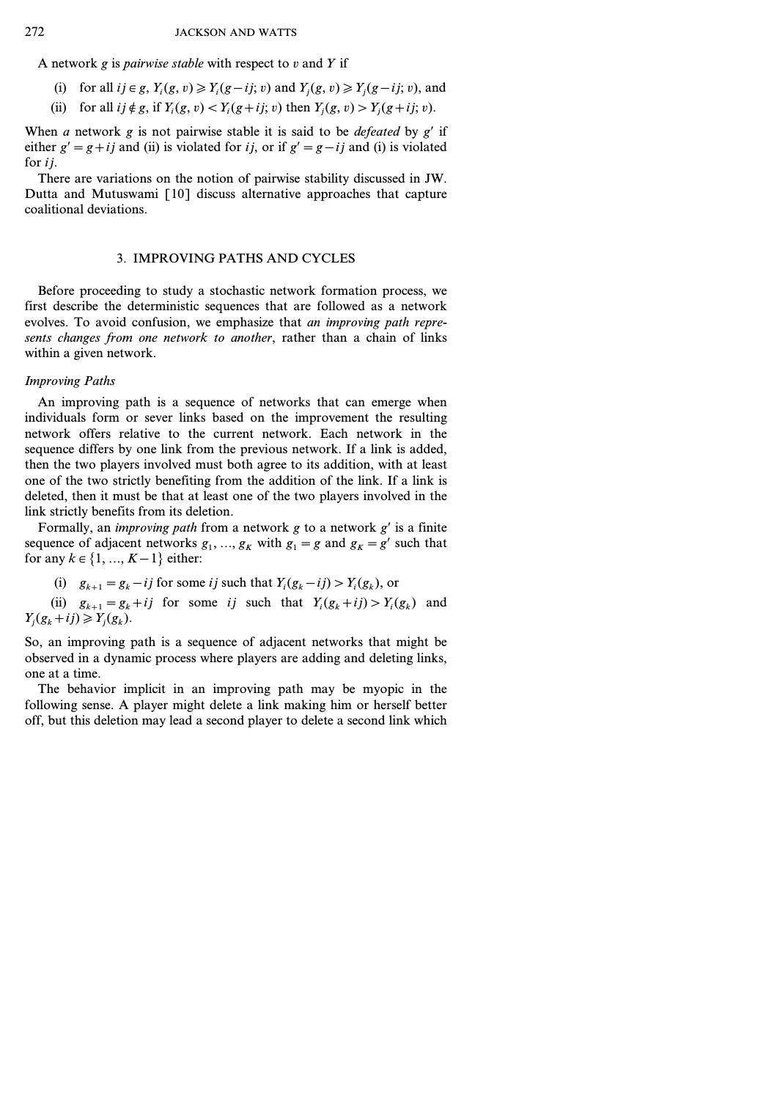A network *g* is *pairwise stable* with respect to *v* and *Y* if

- (i) for all *ij* ∈ *g*,  $Y_i(g, v) \ge Y_i(g ij; v)$  and  $Y_i(g, v) \ge Y_i(g ij; v)$ , and
- (ii) for all  $ij \notin g$ , if  $Y_i(g, v) < Y_i(g+ij; v)$  then  $Y_i(g, v) > Y_i(g+ij; v)$ .

When *a* network *g* is not pairwise stable it is said to be *defeated* by  $g'$  if either  $g' = g + ij$  and (ii) is violated for *ij*, or if  $g' = g - ij$  and (i) is violated for *ij*.

There are variations on the notion of pairwise stability discussed in JW. Dutta and Mutuswami [10] discuss alternative approaches that capture coalitional deviations.

## 3. IMPROVING PATHS AND CYCLES

Before proceeding to study a stochastic network formation process, we first describe the deterministic sequences that are followed as a network evolves. To avoid confusion, we emphasize that *an improving path represents changes from one network to another*, rather than a chain of links within a given network.

#### *Improving Paths*

An improving path is a sequence of networks that can emerge when individuals form or sever links based on the improvement the resulting network offers relative to the current network. Each network in the sequence differs by one link from the previous network. If a link is added, then the two players involved must both agree to its addition, with at least one of the two strictly benefiting from the addition of the link. If a link is deleted, then it must be that at least one of the two players involved in the link strictly benefits from its deletion.

Formally, an *improving path* from a network  $g$  to a network  $g'$  is a finite sequence of adjacent networks  $g_1, ..., g_k$  with  $g_1 = g$  and  $g_k = g'$  such that for any  $k \in \{1, ..., K-1\}$  either:

(i)  $g_{k+1} = g_k - ij$  for some *ij* such that  $Y_i(g_k - ij) > Y_i(g_k)$ , or

(ii)  $g_{k+1} = g_k + ij$  for some *ij* such that  $Y_i(g_k + ij) > Y_i(g_k)$  and  $Y_i(g_k + ij) \geq Y_i(g_k)$ .

So, an improving path is a sequence of adjacent networks that might be observed in a dynamic process where players are adding and deleting links, one at a time.

The behavior implicit in an improving path may be myopic in the following sense. A player might delete a link making him or herself better off, but this deletion may lead a second player to delete a second link which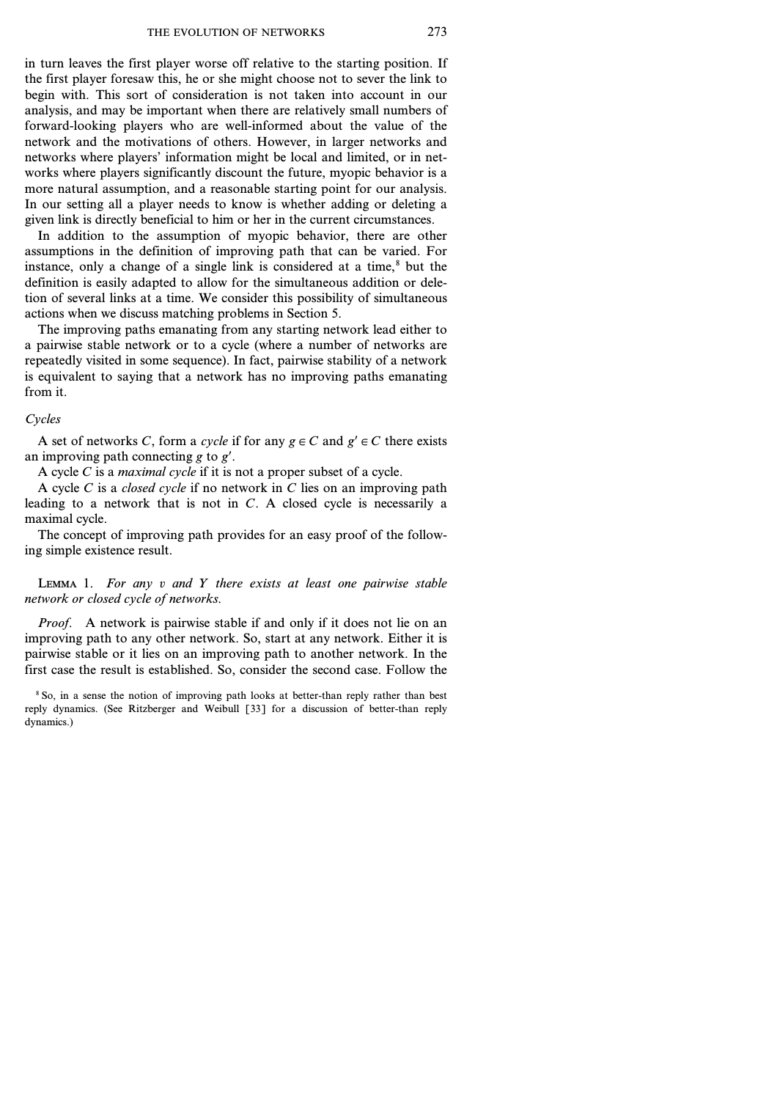in turn leaves the first player worse off relative to the starting position. If the first player foresaw this, he or she might choose not to sever the link to begin with. This sort of consideration is not taken into account in our analysis, and may be important when there are relatively small numbers of forward-looking players who are well-informed about the value of the network and the motivations of others. However, in larger networks and networks where players' information might be local and limited, or in networks where players significantly discount the future, myopic behavior is a more natural assumption, and a reasonable starting point for our analysis. In our setting all a player needs to know is whether adding or deleting a given link is directly beneficial to him or her in the current circumstances.

In addition to the assumption of myopic behavior, there are other assumptions in the definition of improving path that can be varied. For instance, only a change of a single link is considered at a time, $8$  but the definition is easily adapted to allow for the simultaneous addition or deletion of several links at a time. We consider this possibility of simultaneous actions when we discuss matching problems in Section 5.

The improving paths emanating from any starting network lead either to a pairwise stable network or to a cycle (where a number of networks are repeatedly visited in some sequence). In fact, pairwise stability of a network is equivalent to saying that a network has no improving paths emanating from it.

### *Cycles*

A set of networks *C*, form a *cycle* if for any  $g \in C$  and  $g' \in C$  there exists an improving path connecting  $g$  to  $g'$ .

A cycle *C* is a *maximal cycle* if it is not a proper subset of a cycle.

A cycle *C* is a *closed cycle* if no network in *C* lies on an improving path leading to a network that is not in *C*. A closed cycle is necessarily a maximal cycle.

The concept of improving path provides for an easy proof of the following simple existence result.

Lemma 1. *For any v and Y there exists at least one pairwise stable network or closed cycle of networks.*

*Proof.* A network is pairwise stable if and only if it does not lie on an improving path to any other network. So, start at any network. Either it is pairwise stable or it lies on an improving path to another network. In the first case the result is established. So, consider the second case. Follow the

<sup>&</sup>lt;sup>8</sup> So, in a sense the notion of improving path looks at better-than reply rather than best reply dynamics. (See Ritzberger and Weibull [33] for a discussion of better-than reply dynamics.)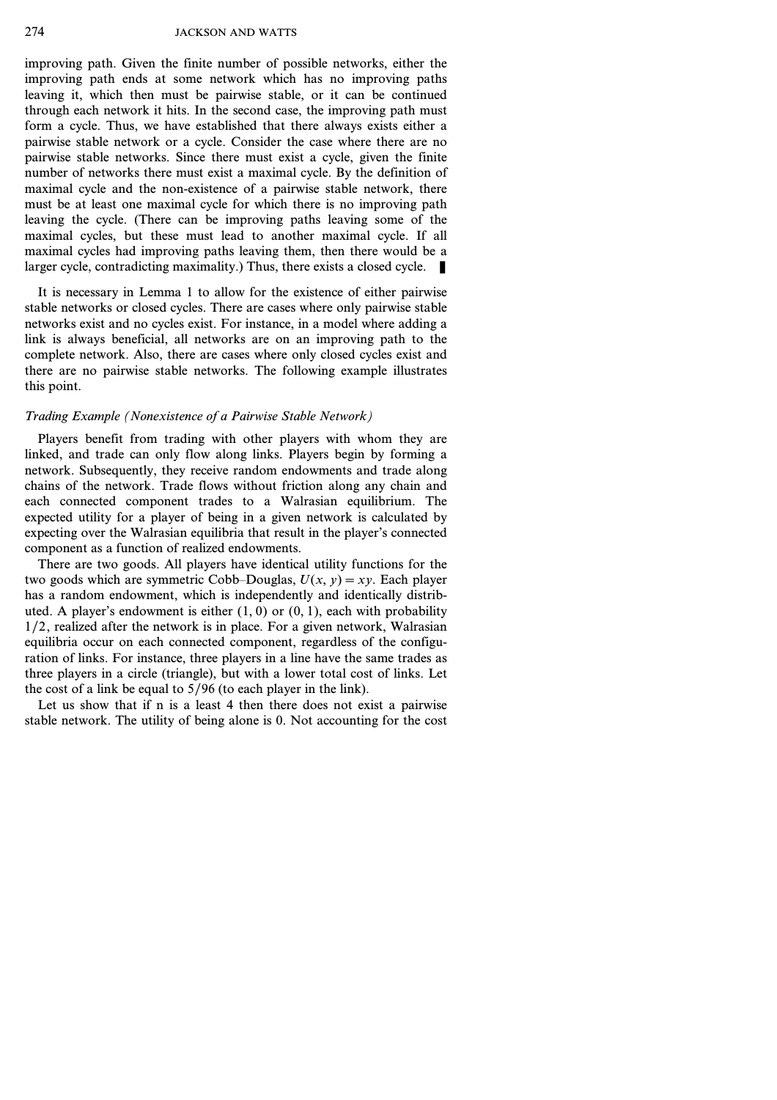improving path. Given the finite number of possible networks, either the improving path ends at some network which has no improving paths leaving it, which then must be pairwise stable, or it can be continued through each network it hits. In the second case, the improving path must form a cycle. Thus, we have established that there always exists either a pairwise stable network or a cycle. Consider the case where there are no pairwise stable networks. Since there must exist a cycle, given the finite number of networks there must exist a maximal cycle. By the definition of maximal cycle and the non-existence of a pairwise stable network, there must be at least one maximal cycle for which there is no improving path leaving the cycle. (There can be improving paths leaving some of the maximal cycles, but these must lead to another maximal cycle. If all maximal cycles had improving paths leaving them, then there would be a larger cycle, contradicting maximality.) Thus, there exists a closed cycle.  $\blacksquare$ 

It is necessary in Lemma 1 to allow for the existence of either pairwise stable networks or closed cycles. There are cases where only pairwise stable networks exist and no cycles exist. For instance, in a model where adding a link is always beneficial, all networks are on an improving path to the complete network. Also, there are cases where only closed cycles exist and there are no pairwise stable networks. The following example illustrates this point.

## *Trading Example (Nonexistence of a Pairwise Stable Network)*

Players benefit from trading with other players with whom they are linked, and trade can only flow along links. Players begin by forming a network. Subsequently, they receive random endowments and trade along chains of the network. Trade flows without friction along any chain and each connected component trades to a Walrasian equilibrium. The expected utility for a player of being in a given network is calculated by expecting over the Walrasian equilibria that result in the player's connected component as a function of realized endowments.

There are two goods. All players have identical utility functions for the two goods which are symmetric Cobb–Douglas,  $U(x, y) = xy$ . Each player has a random endowment, which is independently and identically distributed. A player's endowment is either *(1, 0)* or *(0, 1)*, each with probability *1/2*, realized after the network is in place. For a given network, Walrasian equilibria occur on each connected component, regardless of the configuration of links. For instance, three players in a line have the same trades as three players in a circle (triangle), but with a lower total cost of links. Let the cost of a link be equal to 5/96 (to each player in the link).

Let us show that if n is a least 4 then there does not exist a pairwise stable network. The utility of being alone is 0. Not accounting for the cost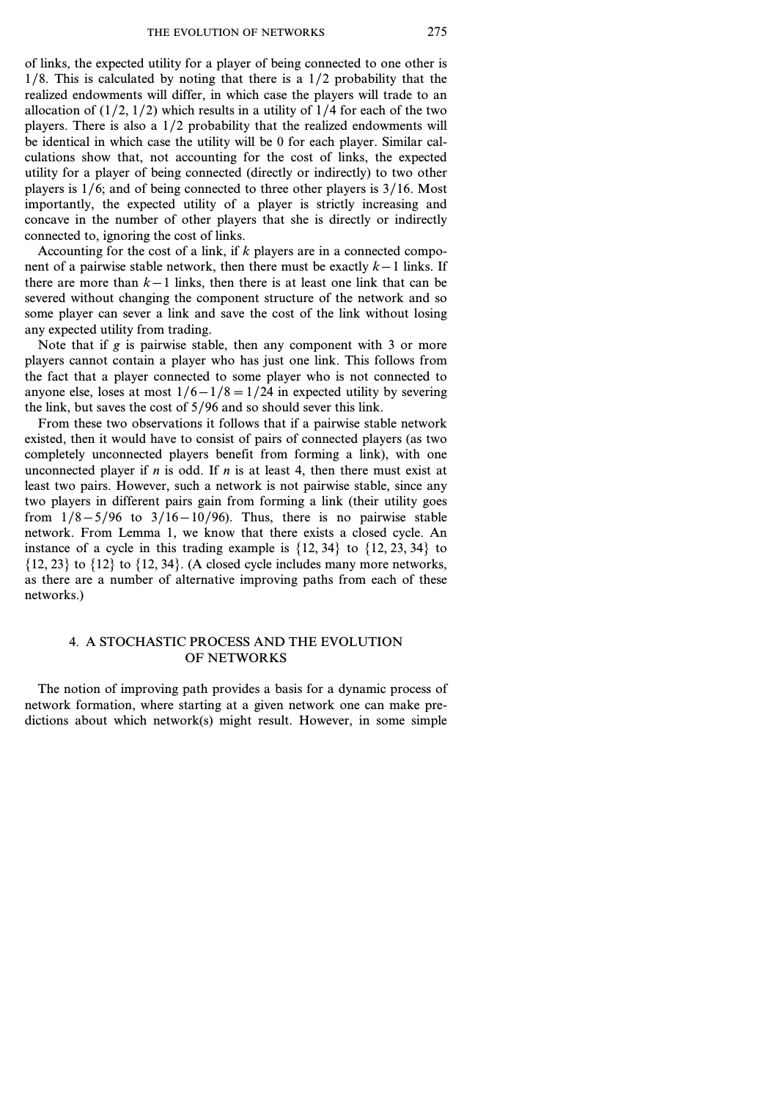of links, the expected utility for a player of being connected to one other is  $1/8$ . This is calculated by noting that there is a  $1/2$  probability that the realized endowments will differ, in which case the players will trade to an allocation of  $(1/2, 1/2)$  which results in a utility of  $1/4$  for each of the two players. There is also a  $1/2$  probability that the realized endowments will be identical in which case the utility will be 0 for each player. Similar calculations show that, not accounting for the cost of links, the expected utility for a player of being connected (directly or indirectly) to two other players is 1/6; and of being connected to three other players is 3/16. Most importantly, the expected utility of a player is strictly increasing and concave in the number of other players that she is directly or indirectly connected to, ignoring the cost of links.

Accounting for the cost of a link, if *k* players are in a connected component of a pairwise stable network, then there must be exactly *k−1* links. If there are more than *k−1* links, then there is at least one link that can be severed without changing the component structure of the network and so some player can sever a link and save the cost of the link without losing any expected utility from trading.

Note that if *g* is pairwise stable, then any component with 3 or more players cannot contain a player who has just one link. This follows from the fact that a player connected to some player who is not connected to anyone else, loses at most  $1/6 - 1/8 = 1/24$  in expected utility by severing the link, but saves the cost of 5/96 and so should sever this link.

From these two observations it follows that if a pairwise stable network existed, then it would have to consist of pairs of connected players (as two completely unconnected players benefit from forming a link), with one unconnected player if  $n$  is odd. If  $n$  is at least 4, then there must exist at least two pairs. However, such a network is not pairwise stable, since any two players in different pairs gain from forming a link (their utility goes from  $1/8 - 5/96$  to  $3/16 - 10/96$ ). Thus, there is no pairwise stable network. From Lemma 1, we know that there exists a closed cycle. An instance of a cycle in this trading example is  $\{12, 34\}$  to  $\{12, 23, 34\}$  to  $\{12, 23\}$  to  $\{12, 34\}$ . (A closed cycle includes many more networks, as there are a number of alternative improving paths from each of these networks.)

## 4. A STOCHASTIC PROCESS AND THE EVOLUTION OF NETWORKS

The notion of improving path provides a basis for a dynamic process of network formation, where starting at a given network one can make predictions about which network(s) might result. However, in some simple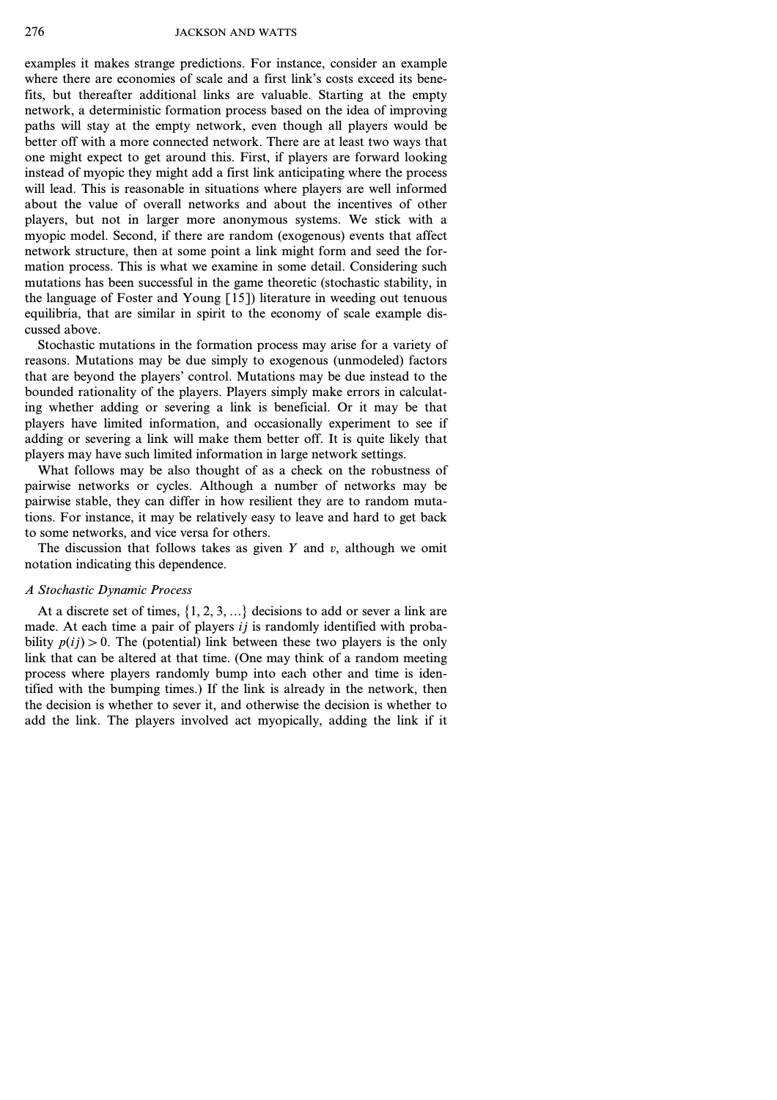examples it makes strange predictions. For instance, consider an example where there are economies of scale and a first link's costs exceed its benefits, but thereafter additional links are valuable. Starting at the empty network, a deterministic formation process based on the idea of improving paths will stay at the empty network, even though all players would be better off with a more connected network. There are at least two ways that one might expect to get around this. First, if players are forward looking instead of myopic they might add a first link anticipating where the process will lead. This is reasonable in situations where players are well informed about the value of overall networks and about the incentives of other players, but not in larger more anonymous systems. We stick with a myopic model. Second, if there are random (exogenous) events that affect network structure, then at some point a link might form and seed the formation process. This is what we examine in some detail. Considering such mutations has been successful in the game theoretic (stochastic stability, in the language of Foster and Young [15]) literature in weeding out tenuous equilibria, that are similar in spirit to the economy of scale example discussed above.

Stochastic mutations in the formation process may arise for a variety of reasons. Mutations may be due simply to exogenous (unmodeled) factors that are beyond the players' control. Mutations may be due instead to the bounded rationality of the players. Players simply make errors in calculating whether adding or severing a link is beneficial. Or it may be that players have limited information, and occasionally experiment to see if adding or severing a link will make them better off. It is quite likely that players may have such limited information in large network settings.

What follows may be also thought of as a check on the robustness of pairwise networks or cycles. Although a number of networks may be pairwise stable, they can differ in how resilient they are to random mutations. For instance, it may be relatively easy to leave and hard to get back to some networks, and vice versa for others.

The discussion that follows takes as given *Y* and *v*, although we omit notation indicating this dependence.

### *A Stochastic Dynamic Process*

At a discrete set of times,  $\{1, 2, 3, ...\}$  decisions to add or sever a link are made. At each time a pair of players  $i\dot{j}$  is randomly identified with probability  $p(i) > 0$ . The (potential) link between these two players is the only link that can be altered at that time. (One may think of a random meeting process where players randomly bump into each other and time is identified with the bumping times.) If the link is already in the network, then the decision is whether to sever it, and otherwise the decision is whether to add the link. The players involved act myopically, adding the link if it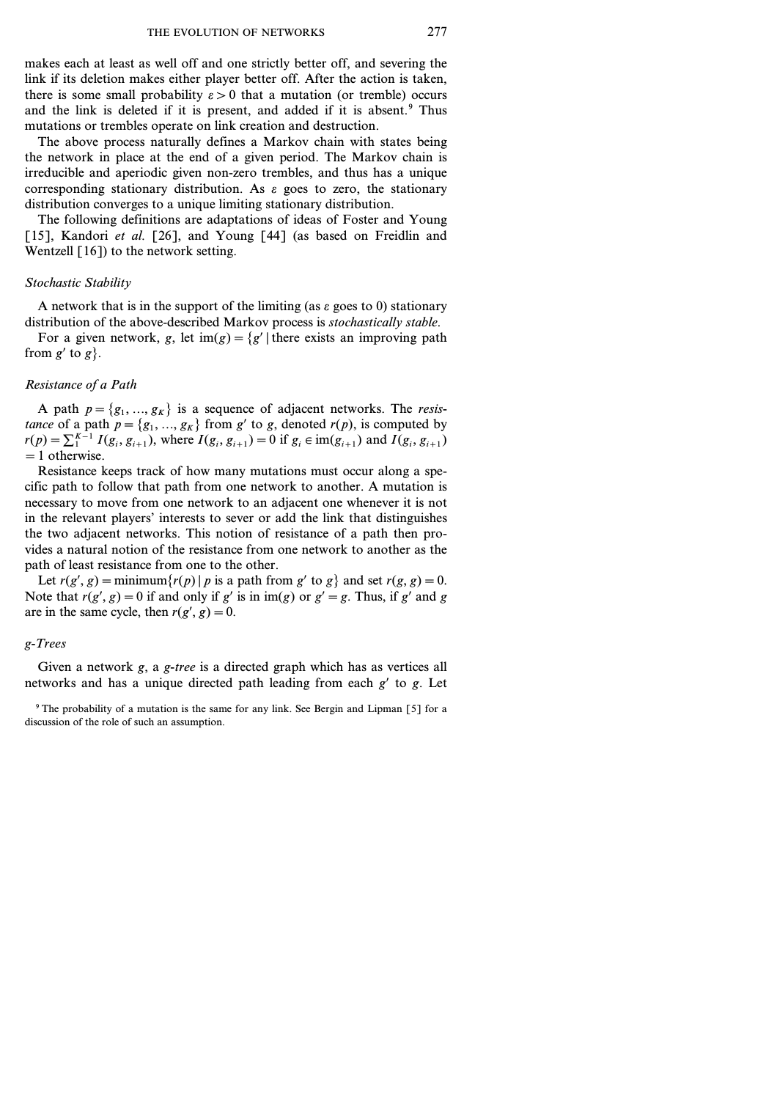makes each at least as well off and one strictly better off, and severing the link if its deletion makes either player better off. After the action is taken, there is some small probability  $\varepsilon > 0$  that a mutation (or tremble) occurs and the link is deleted if it is present, and added if it is absent.<sup>9</sup> Thus mutations or trembles operate on link creation and destruction.

The above process naturally defines a Markov chain with states being the network in place at the end of a given period. The Markov chain is irreducible and aperiodic given non-zero trembles, and thus has a unique corresponding stationary distribution. As *e* goes to zero, the stationary distribution converges to a unique limiting stationary distribution.

The following definitions are adaptations of ideas of Foster and Young [15], Kandori et al. [26], and Young [44] (as based on Freidlin and Wentzell  $[16]$ ) to the network setting.

### *Stochastic Stability*

A network that is in the support of the limiting (as  $\varepsilon$  goes to 0) stationary distribution of the above-described Markov process is *stochastically stable.*

For a given network, *g*, let  $\text{im}(g) = \{g' | \text{there exists an improving path} \}$ from  $g'$  to  $g$ .

### *Resistance of a Path*

A path  $p = \{g_1, ..., g_K\}$  is a sequence of adjacent networks. The *resistance* of a path  $p = \{g_1, ..., g_K\}$  from  $g'$  to  $g$ , denoted  $r(p)$ , is computed by  $r(p) = \sum_{i=1}^{K-1} I(g_i, g_{i+1})$ , where  $I(g_i, g_{i+1}) = 0$  if  $g_i \in \text{im}(g_{i+1})$  and  $I(g_i, g_{i+1})$ *=1* otherwise.

Resistance keeps track of how many mutations must occur along a specific path to follow that path from one network to another. A mutation is necessary to move from one network to an adjacent one whenever it is not in the relevant players' interests to sever or add the link that distinguishes the two adjacent networks. This notion of resistance of a path then provides a natural notion of the resistance from one network to another as the path of least resistance from one to the other.

Let  $r(g', g) = \text{minimum}\{r(p) | p \text{ is a path from } g' \text{ to } g\}$  and set  $r(g, g) = 0$ . Note that  $r(g', g) = 0$  if and only if  $g'$  is in im(g) or  $g' = g$ . Thus, if  $g'$  and g are in the same cycle, then  $r(g', g) = 0$ .

### *g-Trees*

Given a network *g*, a *g-tree* is a directed graph which has as vertices all networks and has a unique directed path leading from each  $g'$  to  $g$ . Let

<sup>9</sup> The probability of a mutation is the same for any link. See Bergin and Lipman [5] for a discussion of the role of such an assumption.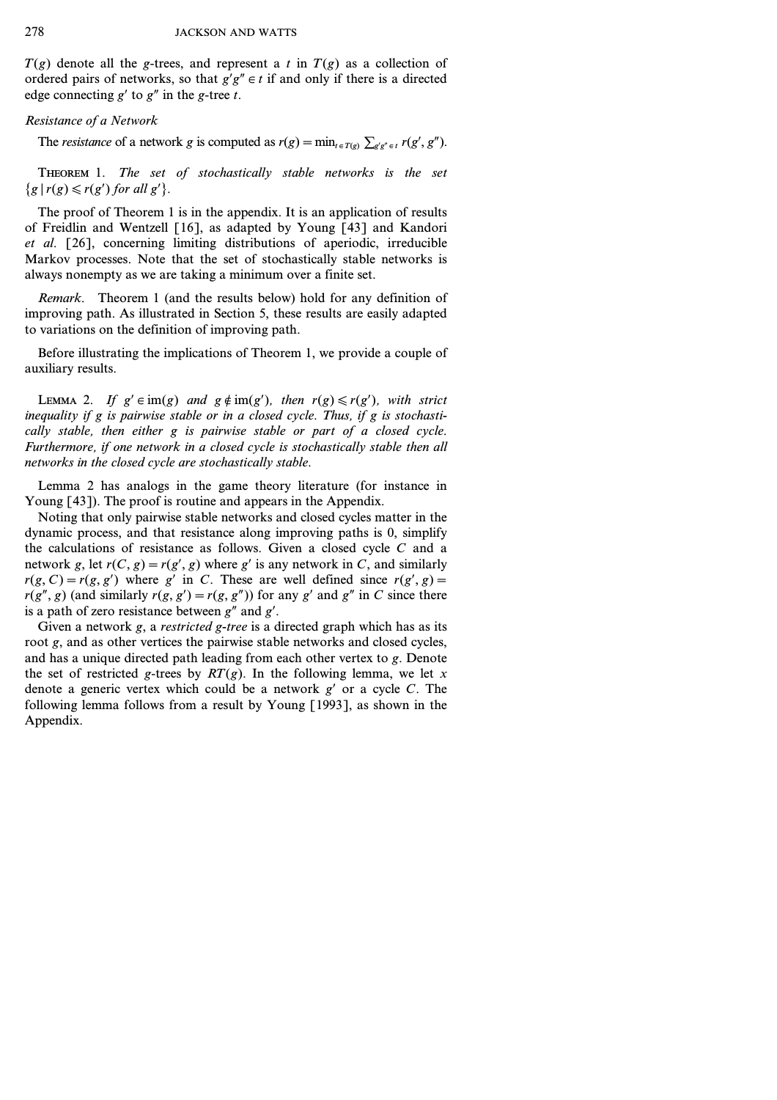$T(g)$  denote all the *g*-trees, and represent a *t* in  $T(g)$  as a collection of ordered pairs of networks, so that  $g'g'' \in t$  if and only if there is a directed edge connecting  $g'$  to  $g''$  in the *g*-tree *t*.

### *Resistance of a Network*

The *resistance* of a network *g* is computed as  $r(g) = \min_{t \in T(g)} \sum_{g'g'' \in t} r(g', g'')$ .

Theorem 1. *The set of stochastically stable networks is the set*  ${g | r(g) \le r(g') \text{ for all } g' }$ .

The proof of Theorem 1 is in the appendix. It is an application of results of Freidlin and Wentzell [16], as adapted by Young [43] and Kandori *et al.* [26], concerning limiting distributions of aperiodic, irreducible Markov processes. Note that the set of stochastically stable networks is always nonempty as we are taking a minimum over a finite set.

*Remark.* Theorem 1 (and the results below) hold for any definition of improving path. As illustrated in Section 5, these results are easily adapted to variations on the definition of improving path.

Before illustrating the implications of Theorem 1, we provide a couple of auxiliary results.

LEMMA 2. If  $g' \in im(g)$  and  $g \notin im(g')$ , then  $r(g) \le r(g')$ , with strict *inequality if g is pairwise stable or in a closed cycle. Thus, if g is stochastically stable, then either g is pairwise stable or part of a closed cycle. Furthermore, if one network in a closed cycle is stochastically stable then all networks in the closed cycle are stochastically stable.*

Lemma 2 has analogs in the game theory literature (for instance in Young [43]). The proof is routine and appears in the Appendix.

Noting that only pairwise stable networks and closed cycles matter in the dynamic process, and that resistance along improving paths is 0, simplify the calculations of resistance as follows. Given a closed cycle *C* and a network *g*, let  $r(C, g) = r(g', g)$  where *g'* is any network in *C*, and similarly  $r(g, C) = r(g, g')$  where *g'* in *C*. These are well defined since  $r(g', g) =$  $r(g'', g)$  (and similarly  $r(g, g') = r(g, g'')$ ) for any g' and g'' in C since there is a path of zero resistance between  $g''$  and  $g'$ .

Given a network *g*, a *restricted g-tree* is a directed graph which has as its root *g*, and as other vertices the pairwise stable networks and closed cycles, and has a unique directed path leading from each other vertex to *g*. Denote the set of restricted *g*-trees by  $RT(g)$ . In the following lemma, we let *x* denote a generic vertex which could be a network  $g'$  or a cycle  $C$ . The following lemma follows from a result by Young [1993], as shown in the Appendix.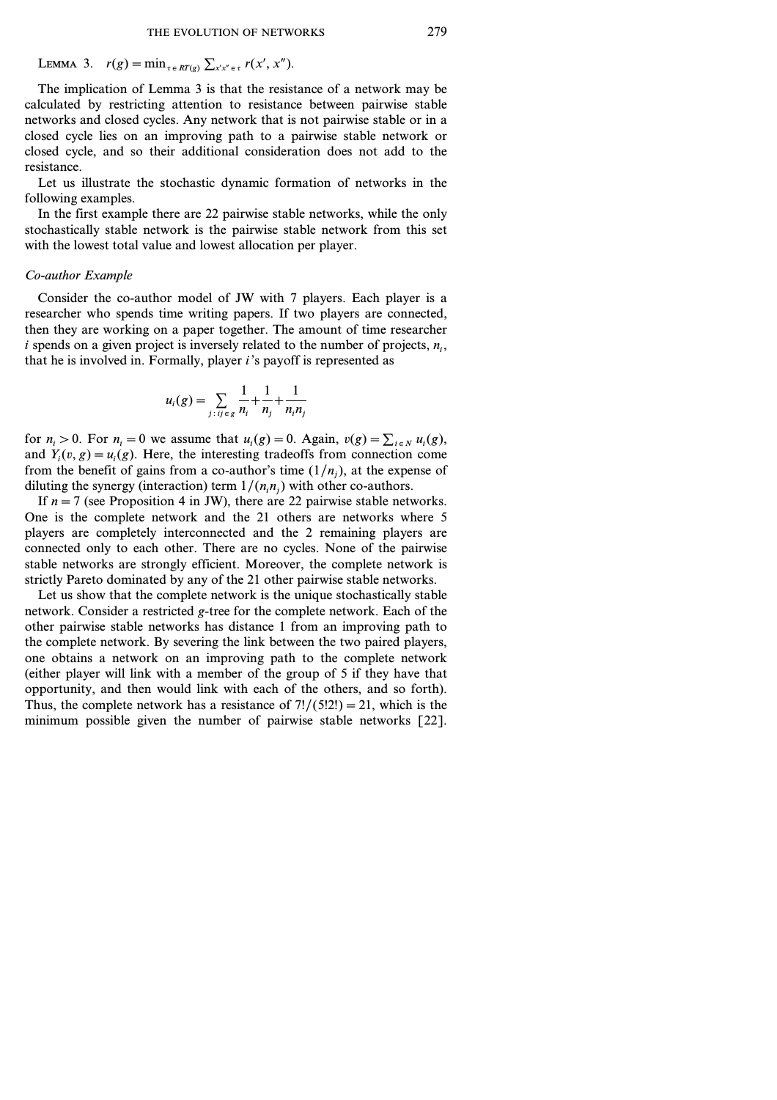LEMMA 3.  $r(g) = \min_{\tau \in RT(g)} \sum_{x'x'' \in \tau} r(x', x'').$ 

The implication of Lemma 3 is that the resistance of a network may be calculated by restricting attention to resistance between pairwise stable networks and closed cycles. Any network that is not pairwise stable or in a closed cycle lies on an improving path to a pairwise stable network or closed cycle, and so their additional consideration does not add to the resistance.

Let us illustrate the stochastic dynamic formation of networks in the following examples.

In the first example there are 22 pairwise stable networks, while the only stochastically stable network is the pairwise stable network from this set with the lowest total value and lowest allocation per player.

#### *Co-author Example*

Consider the co-author model of JW with 7 players. Each player is a researcher who spends time writing papers. If two players are connected, then they are working on a paper together. The amount of time researcher  $i$  spends on a given project is inversely related to the number of projects,  $n_i$ , that he is involved in. Formally, player *i*'s payoff is represented as

$$
u_i(g) = \sum_{j \, : \, ij \, \in \, g} \frac{1}{n_i} + \frac{1}{n_j} + \frac{1}{n_i n_j}
$$

for  $n_i > 0$ . For  $n_i = 0$  we assume that  $u_i(g) = 0$ . Again,  $v(g) = \sum_{i \in N} u_i(g)$ , and  $Y_i(v, g) = u_i(g)$ . Here, the interesting tradeoffs from connection come from the benefit of gains from a co-author's time  $(1/n_i)$ , at the expense of diluting the synergy (interaction) term  $1/(n<sub>i</sub>n<sub>i</sub>)$  with other co-authors.

If  $n=7$  (see Proposition 4 in JW), there are 22 pairwise stable networks. One is the complete network and the 21 others are networks where 5 players are completely interconnected and the 2 remaining players are connected only to each other. There are no cycles. None of the pairwise stable networks are strongly efficient. Moreover, the complete network is strictly Pareto dominated by any of the 21 other pairwise stable networks.

Let us show that the complete network is the unique stochastically stable network. Consider a restricted *g*-tree for the complete network. Each of the other pairwise stable networks has distance 1 from an improving path to the complete network. By severing the link between the two paired players, one obtains a network on an improving path to the complete network (either player will link with a member of the group of 5 if they have that opportunity, and then would link with each of the others, and so forth). Thus, the complete network has a resistance of  $7!/(5!2!) = 21$ , which is the minimum possible given the number of pairwise stable networks [22].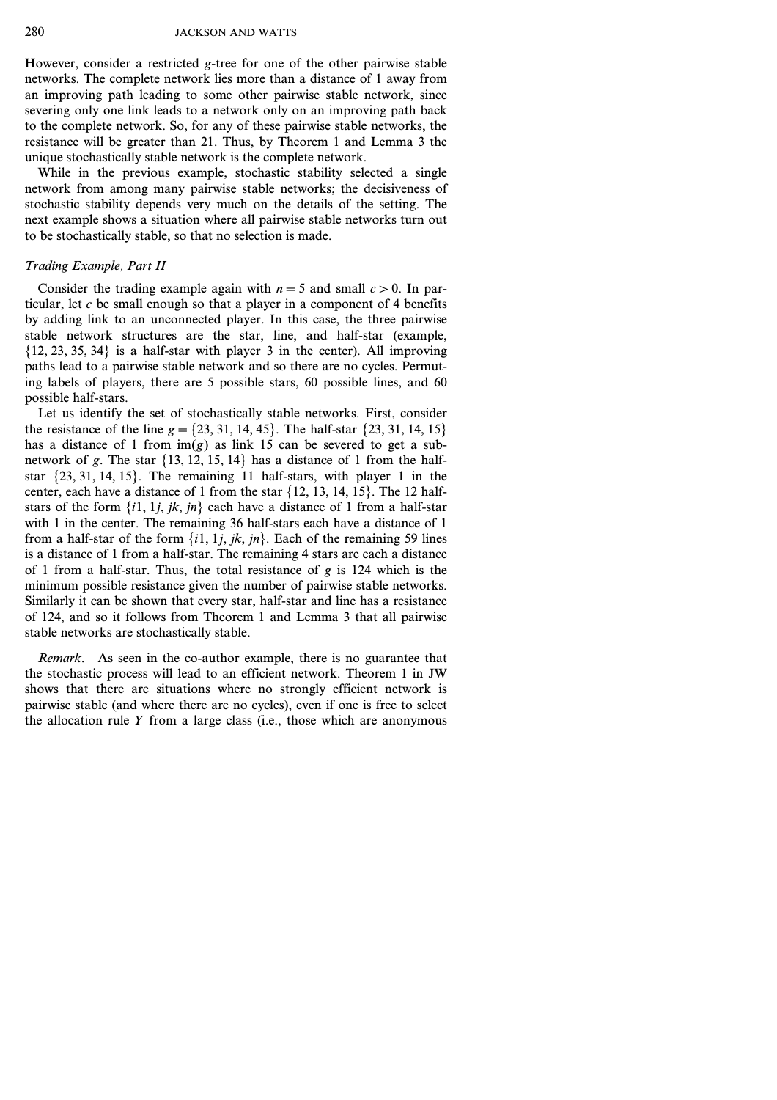However, consider a restricted *g*-tree for one of the other pairwise stable networks. The complete network lies more than a distance of 1 away from an improving path leading to some other pairwise stable network, since severing only one link leads to a network only on an improving path back to the complete network. So, for any of these pairwise stable networks, the resistance will be greater than 21. Thus, by Theorem 1 and Lemma 3 the unique stochastically stable network is the complete network.

While in the previous example, stochastic stability selected a single network from among many pairwise stable networks; the decisiveness of stochastic stability depends very much on the details of the setting. The next example shows a situation where all pairwise stable networks turn out to be stochastically stable, so that no selection is made.

#### *Trading Example, Part II*

Consider the trading example again with  $n=5$  and small  $c>0$ . In particular, let *c* be small enough so that a player in a component of 4 benefits by adding link to an unconnected player. In this case, the three pairwise stable network structures are the star, line, and half-star (example, *{12, 23, 35, 34}* is a half-star with player 3 in the center). All improving paths lead to a pairwise stable network and so there are no cycles. Permuting labels of players, there are 5 possible stars, 60 possible lines, and 60 possible half-stars.

Let us identify the set of stochastically stable networks. First, consider the resistance of the line  $g = \{23, 31, 14, 45\}$ . The half-star  $\{23, 31, 14, 15\}$ has a distance of 1 from  $\text{im}(g)$  as link 15 can be severed to get a subnetwork of *g*. The star *{13, 12, 15, 14}* has a distance of 1 from the halfstar *{23, 31, 14, 15}*. The remaining 11 half-stars, with player 1 in the center, each have a distance of 1 from the star *{12, 13, 14, 15}*. The 12 halfstars of the form  $\{i1, 1j, jk, jn\}$  each have a distance of 1 from a half-star with 1 in the center. The remaining 36 half-stars each have a distance of 1 from a half-star of the form  $\{i1, 1j, jk, jn\}$ . Each of the remaining 59 lines is a distance of 1 from a half-star. The remaining 4 stars are each a distance of 1 from a half-star. Thus, the total resistance of *g* is 124 which is the minimum possible resistance given the number of pairwise stable networks. Similarly it can be shown that every star, half-star and line has a resistance of 124, and so it follows from Theorem 1 and Lemma 3 that all pairwise stable networks are stochastically stable.

*Remark.* As seen in the co-author example, there is no guarantee that the stochastic process will lead to an efficient network. Theorem 1 in JW shows that there are situations where no strongly efficient network is pairwise stable (and where there are no cycles), even if one is free to select the allocation rule *Y* from a large class (i.e., those which are anonymous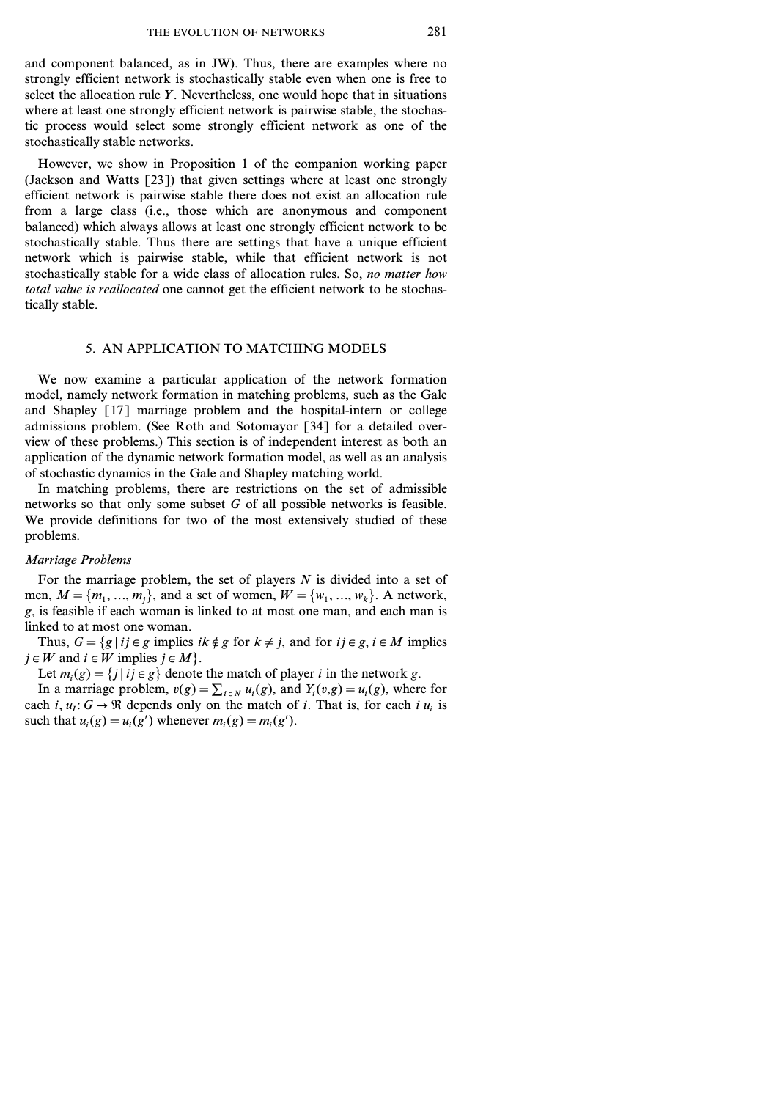and component balanced, as in JW). Thus, there are examples where no strongly efficient network is stochastically stable even when one is free to select the allocation rule *Y*. Nevertheless, one would hope that in situations where at least one strongly efficient network is pairwise stable, the stochastic process would select some strongly efficient network as one of the stochastically stable networks.

However, we show in Proposition 1 of the companion working paper (Jackson and Watts [23]) that given settings where at least one strongly efficient network is pairwise stable there does not exist an allocation rule from a large class (i.e., those which are anonymous and component balanced) which always allows at least one strongly efficient network to be stochastically stable. Thus there are settings that have a unique efficient network which is pairwise stable, while that efficient network is not stochastically stable for a wide class of allocation rules. So, *no matter how total value is reallocated* one cannot get the efficient network to be stochastically stable.

#### 5. AN APPLICATION TO MATCHING MODELS

We now examine a particular application of the network formation model, namely network formation in matching problems, such as the Gale and Shapley [17] marriage problem and the hospital-intern or college admissions problem. (See Roth and Sotomayor [34] for a detailed overview of these problems.) This section is of independent interest as both an application of the dynamic network formation model, as well as an analysis of stochastic dynamics in the Gale and Shapley matching world.

In matching problems, there are restrictions on the set of admissible networks so that only some subset *G* of all possible networks is feasible. We provide definitions for two of the most extensively studied of these problems.

#### *Marriage Problems*

For the marriage problem, the set of players *N* is divided into a set of men,  $M = \{m_1, ..., m_i\}$ , and a set of women,  $W = \{w_1, ..., w_k\}$ . A network, *g*, is feasible if each woman is linked to at most one man, and each man is linked to at most one woman.

Thus,  $G = \{g | i j \in g \text{ implies } ik \notin g \text{ for } k \neq j, \text{ and for } ij \in g, i \in M \text{ implies }$  $j \in W$  and  $i \in W$  implies  $j \in M$ .

Let  $m_i(g) = \{j | i j \in g\}$  denote the match of player *i* in the network *g*.

In a marriage problem,  $v(g) = \sum_{i \in N} u_i(g)$ , and  $Y_i(v,g) = u_i(g)$ , where for each *i*,  $u_i$ :  $G \rightarrow \Re$  depends only on the match of *i*. That is, for each *i*  $u_i$  is such that  $u_i(g) = u_i(g')$  whenever  $m_i(g) = m_i(g')$ .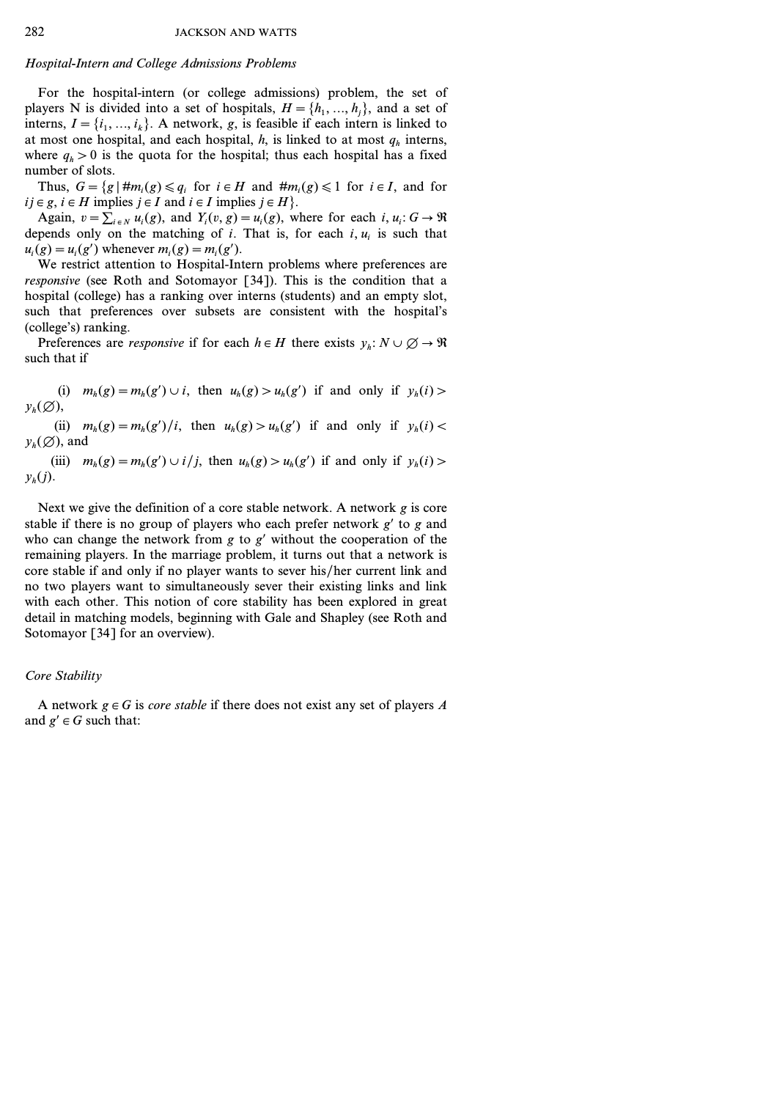#### *Hospital-Intern and College Admissions Problems*

For the hospital-intern (or college admissions) problem, the set of players N is divided into a set of hospitals,  $H = \{h_1, ..., h_i\}$ , and a set of interns,  $I = \{i_1, ..., i_k\}$ . A network, *g*, is feasible if each intern is linked to at most one hospital, and each hospital,  $h$ , is linked to at most  $q_h$  interns, where  $q_h > 0$  is the quota for the hospital; thus each hospital has a fixed number of slots.

Thus,  $G = \{g \mid \#m_i(g) \leq q_i \text{ for } i \in H \text{ and } \#m_i(g) \leq 1 \text{ for } i \in I, \text{ and for } i \in I \text{ and } \#m_i(g) \leq 1 \text{ for } i \in I \text{ and } \#m_i(g) \leq 1 \text{ for } i \in I \text{ and } \#m_i(g) \leq 1 \text{ for } i \in I \text{ and } \#m_i(g) \leq 1 \text{ for } i \in I \text{ and } \#m_i(g) \leq 1 \text{ for } i \in I \text{ and } \#m_i(g) \leq 1 \text{ for } i \in I \$  $ij \in g, i \in H$  implies  $j \in I$  and  $i \in I$  implies  $j \in H$ }.

Again,  $v = \sum_{i \in N} u_i(g)$ , and  $Y_i(v, g) = u_i(g)$ , where for each  $i, u_i : G \to \Re$ depends only on the matching of *i*. That is, for each  $i, u_i$  is such that  $u_i(g) = u_i(g')$  whenever  $m_i(g) = m_i(g')$ .

We restrict attention to Hospital-Intern problems where preferences are *responsive* (see Roth and Sotomayor [34]). This is the condition that a hospital (college) has a ranking over interns (students) and an empty slot, such that preferences over subsets are consistent with the hospital's (college's) ranking.

Preferences are *responsive* if for each  $h \in H$  there exists  $y_h: N \cup \emptyset \to \mathbb{R}$ such that if

(i)  $m_h(g) = m_h(g') \cup i$ , then  $u_h(g) > u_h(g')$  if and only if  $y_h(i) >$  $y_h(Q)$ ,

(ii)  $m_h(g) = m_h(g')/i$ , then  $u_h(g) > u_h(g')$  if and only if  $y_h(i) <$  $y_h(\emptyset)$ , and

(iii)  $m_h(g) = m_h(g') \cup i/j$ , then  $u_h(g) > u_h(g')$  if and only if  $y_h(i) >$  $y_h(j)$ .

Next we give the definition of a core stable network. A network *g* is core stable if there is no group of players who each prefer network  $g'$  to  $g$  and who can change the network from  $g$  to  $g'$  without the cooperation of the remaining players. In the marriage problem, it turns out that a network is core stable if and only if no player wants to sever his/her current link and no two players want to simultaneously sever their existing links and link with each other. This notion of core stability has been explored in great detail in matching models, beginning with Gale and Shapley (see Roth and Sotomayor [34] for an overview).

### *Core Stability*

A network  $g \in G$  is *core stable* if there does not exist any set of players A and  $g' \in G$  such that: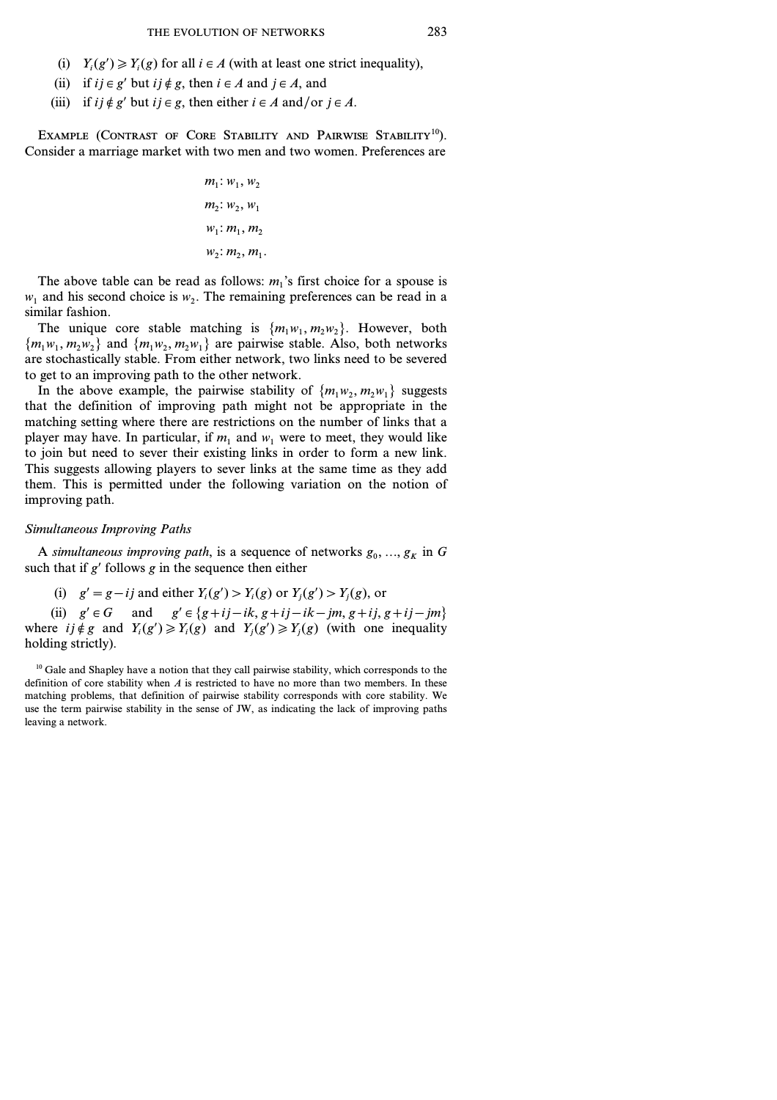- (i)  $Y_i(g') \ge Y_i(g)$  for all  $i \in A$  (with at least one strict inequality),
- (ii) if  $ij \in g'$  but  $ij \notin g$ , then  $i \in A$  and  $j \in A$ , and
- (iii) if  $ij \notin g'$  but  $ij \in g$ , then either  $i \in A$  and/or  $j \in A$ .

EXAMPLE (CONTRAST OF CORE STABILITY AND PAIRWISE STABILITY<sup>10</sup>). Consider a marriage market with two men and two women. Preferences are

$$
m_1: w_1, w_2
$$
  
\n
$$
m_2: w_2, w_1
$$
  
\n
$$
w_1: m_1, m_2
$$
  
\n
$$
w_2: m_2, m_1.
$$

The above table can be read as follows:  $m<sub>1</sub>$ 's first choice for a spouse is  $w_1$  and his second choice is  $w_2$ . The remaining preferences can be read in a similar fashion.

The unique core stable matching is  $\{m_1w_1, m_2w_2\}$ . However, both  ${m_1w_1, m_2w_2}$  and  ${m_1w_2, m_2w_1}$  are pairwise stable. Also, both networks are stochastically stable. From either network, two links need to be severed to get to an improving path to the other network.

In the above example, the pairwise stability of  $\{m_1w_2, m_2w_1\}$  suggests that the definition of improving path might not be appropriate in the matching setting where there are restrictions on the number of links that a player may have. In particular, if  $m_1$  and  $w_1$  were to meet, they would like to join but need to sever their existing links in order to form a new link. This suggests allowing players to sever links at the same time as they add them. This is permitted under the following variation on the notion of improving path.

#### *Simultaneous Improving Paths*

A *simultaneous improving path*, is a sequence of networks  $g_0, \ldots, g_k$  in G such that if  $g'$  follows  $g$  in the sequence then either

(i)  $g' = g - ij$  and either  $Y_i(g') > Y_i(g)$  or  $Y_i(g') > Y_i(g)$ , or

(ii)  $g' \in G$  and  $g' \in \{g+ij-ik, g+ij-ik-jm, g+ij, g+ij-m\}$ where  $ij \notin g$  and  $Y_i(g') \ge Y_i(g)$  and  $Y_i(g') \ge Y_i(g)$  (with one inequality holding strictly).

<sup>10</sup> Gale and Shapley have a notion that they call pairwise stability, which corresponds to the definition of core stability when *A* is restricted to have no more than two members. In these matching problems, that definition of pairwise stability corresponds with core stability. We use the term pairwise stability in the sense of JW, as indicating the lack of improving paths leaving a network.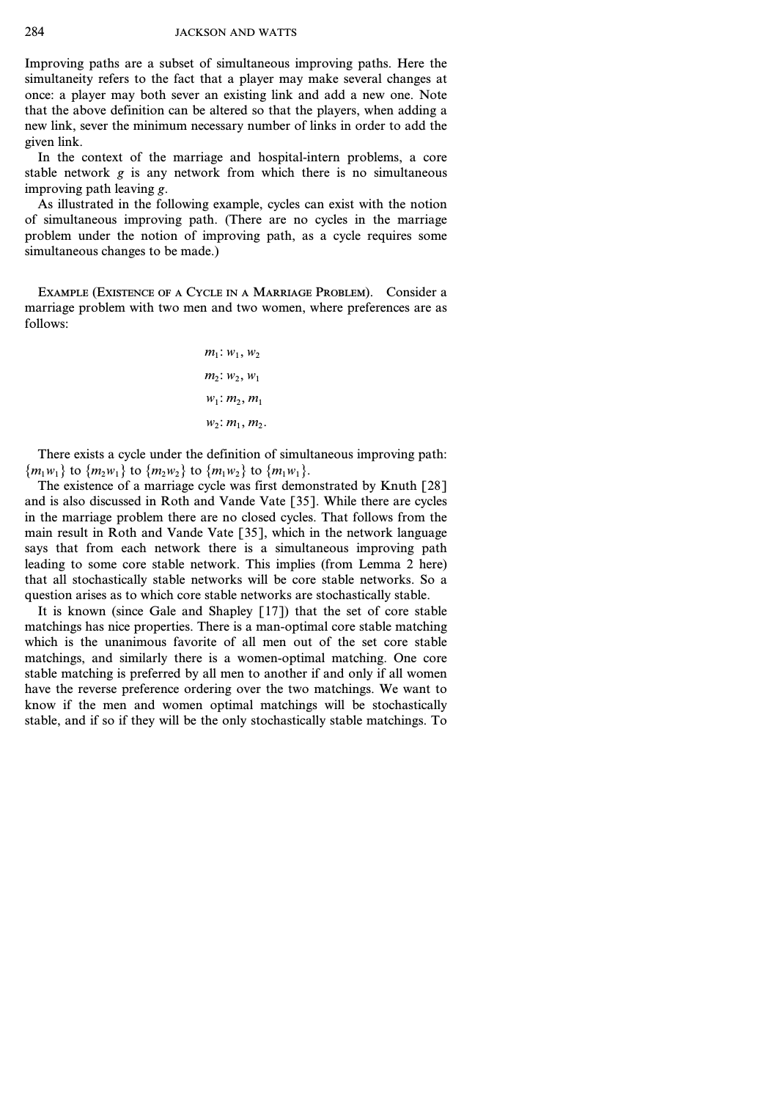Improving paths are a subset of simultaneous improving paths. Here the simultaneity refers to the fact that a player may make several changes at once: a player may both sever an existing link and add a new one. Note that the above definition can be altered so that the players, when adding a new link, sever the minimum necessary number of links in order to add the given link.

In the context of the marriage and hospital-intern problems, a core stable network *g* is any network from which there is no simultaneous improving path leaving *g*.

As illustrated in the following example, cycles can exist with the notion of simultaneous improving path. (There are no cycles in the marriage problem under the notion of improving path, as a cycle requires some simultaneous changes to be made.)

Example (Existence of a Cycle in a Marriage Problem). Consider a marriage problem with two men and two women, where preferences are as follows:

$$
m_1: w_1, w_2
$$
  
\n
$$
m_2: w_2, w_1
$$
  
\n
$$
w_1: m_2, m_1
$$
  
\n
$$
w_2: m_1, m_2.
$$

There exists a cycle under the definition of simultaneous improving path:  ${m_1w_1}$  to  ${m_2w_1}$  to  ${m_2w_2}$  to  ${m_1w_2}$  to  ${m_1w_1}$ .

The existence of a marriage cycle was first demonstrated by Knuth [28] and is also discussed in Roth and Vande Vate [35]. While there are cycles in the marriage problem there are no closed cycles. That follows from the main result in Roth and Vande Vate [35], which in the network language says that from each network there is a simultaneous improving path leading to some core stable network. This implies (from Lemma 2 here) that all stochastically stable networks will be core stable networks. So a question arises as to which core stable networks are stochastically stable.

It is known (since Gale and Shapley [17]) that the set of core stable matchings has nice properties. There is a man-optimal core stable matching which is the unanimous favorite of all men out of the set core stable matchings, and similarly there is a women-optimal matching. One core stable matching is preferred by all men to another if and only if all women have the reverse preference ordering over the two matchings. We want to know if the men and women optimal matchings will be stochastically stable, and if so if they will be the only stochastically stable matchings. To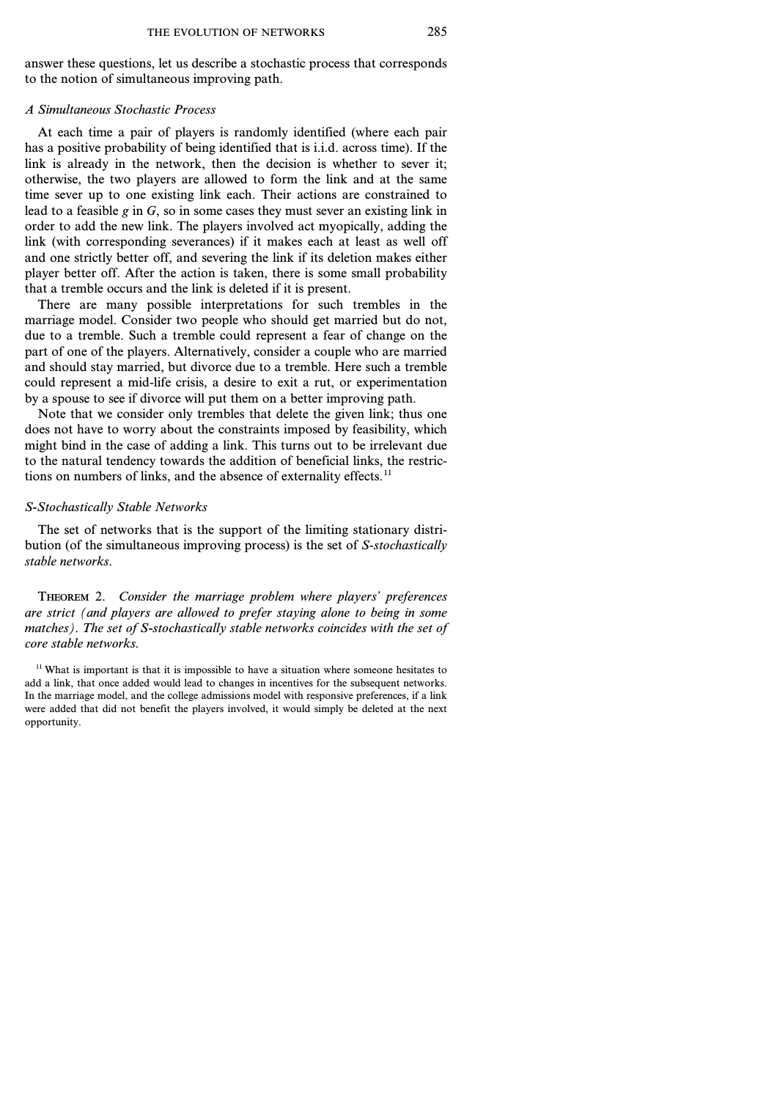answer these questions, let us describe a stochastic process that corresponds to the notion of simultaneous improving path.

## *A Simultaneous Stochastic Process*

At each time a pair of players is randomly identified (where each pair has a positive probability of being identified that is i.i.d. across time). If the link is already in the network, then the decision is whether to sever it; otherwise, the two players are allowed to form the link and at the same time sever up to one existing link each. Their actions are constrained to lead to a feasible *g* in *G*, so in some cases they must sever an existing link in order to add the new link. The players involved act myopically, adding the link (with corresponding severances) if it makes each at least as well off and one strictly better off, and severing the link if its deletion makes either player better off. After the action is taken, there is some small probability that a tremble occurs and the link is deleted if it is present.

There are many possible interpretations for such trembles in the marriage model. Consider two people who should get married but do not, due to a tremble. Such a tremble could represent a fear of change on the part of one of the players. Alternatively, consider a couple who are married and should stay married, but divorce due to a tremble. Here such a tremble could represent a mid-life crisis, a desire to exit a rut, or experimentation by a spouse to see if divorce will put them on a better improving path.

Note that we consider only trembles that delete the given link; thus one does not have to worry about the constraints imposed by feasibility, which might bind in the case of adding a link. This turns out to be irrelevant due to the natural tendency towards the addition of beneficial links, the restrictions on numbers of links, and the absence of externality effects.<sup>11</sup>

#### *S-Stochastically Stable Networks*

The set of networks that is the support of the limiting stationary distribution (of the simultaneous improving process) is the set of *S*-*stochastically stable networks*.

Theorem 2. *Consider the marriage problem where players' preferences are strict (and players are allowed to prefer staying alone to being in some matches). The set of S-stochastically stable networks coincides with the set of core stable networks.*

<sup>11</sup> What is important is that it is impossible to have a situation where someone hesitates to add a link, that once added would lead to changes in incentives for the subsequent networks. In the marriage model, and the college admissions model with responsive preferences, if a link were added that did not benefit the players involved, it would simply be deleted at the next opportunity.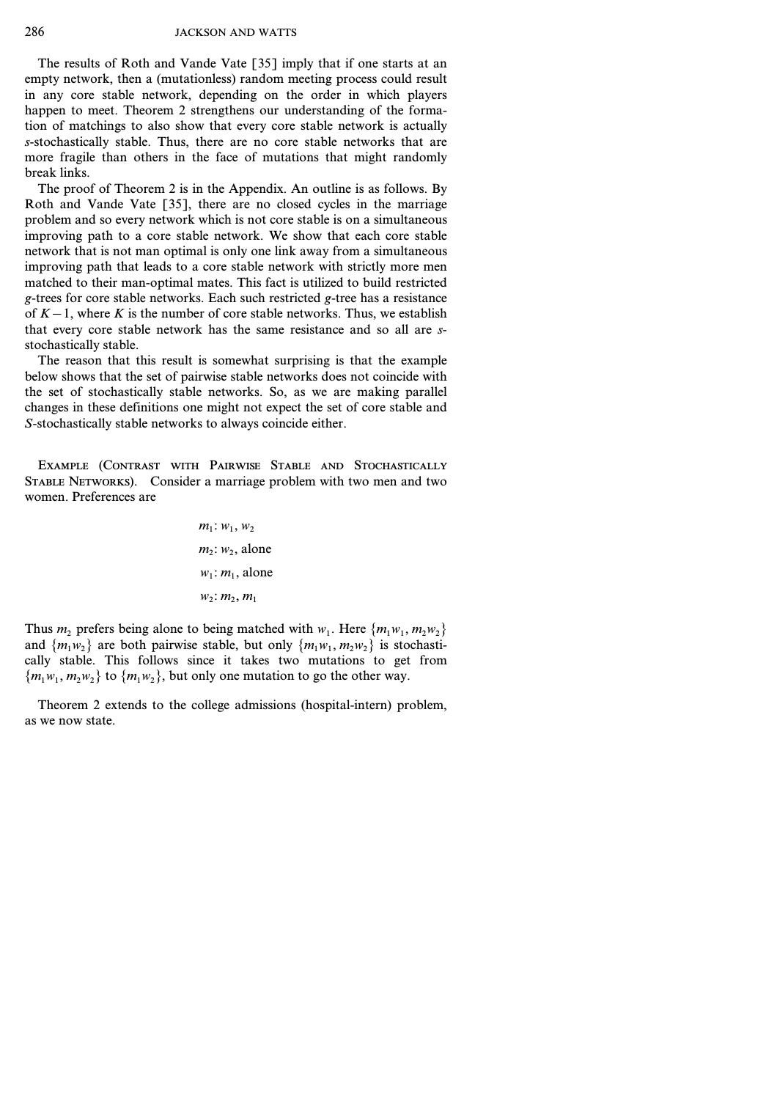The results of Roth and Vande Vate [35] imply that if one starts at an empty network, then a (mutationless) random meeting process could result in any core stable network, depending on the order in which players happen to meet. Theorem 2 strengthens our understanding of the formation of matchings to also show that every core stable network is actually *s*-stochastically stable. Thus, there are no core stable networks that are more fragile than others in the face of mutations that might randomly break links.

The proof of Theorem 2 is in the Appendix. An outline is as follows. By Roth and Vande Vate [35], there are no closed cycles in the marriage problem and so every network which is not core stable is on a simultaneous improving path to a core stable network. We show that each core stable network that is not man optimal is only one link away from a simultaneous improving path that leads to a core stable network with strictly more men matched to their man-optimal mates. This fact is utilized to build restricted *g*-trees for core stable networks. Each such restricted *g*-tree has a resistance of *K−1*, where *K* is the number of core stable networks. Thus, we establish that every core stable network has the same resistance and so all are *s*stochastically stable.

The reason that this result is somewhat surprising is that the example below shows that the set of pairwise stable networks does not coincide with the set of stochastically stable networks. So, as we are making parallel changes in these definitions one might not expect the set of core stable and *S*-stochastically stable networks to always coincide either.

Example (Contrast with Pairwise Stable and Stochastically Stable Networks). Consider a marriage problem with two men and two women. Preferences are

> $m_1$ :  $w_1$ ,  $w_2$  $m_2$ :  $w_2$ , alone  $w_1$ :  $m_1$ , alone  $w_2$ :  $m_2$ ,  $m_1$

Thus  $m_2$  prefers being alone to being matched with  $w_1$ . Here  $\{m_1w_1, m_2w_2\}$ and  $\{m_1w_2\}$  are both pairwise stable, but only  $\{m_1w_1, m_2w_2\}$  is stochastically stable. This follows since it takes two mutations to get from  $\{m_1w_1, m_2w_2\}$  to  $\{m_1w_2\}$ , but only one mutation to go the other way.

Theorem 2 extends to the college admissions (hospital-intern) problem, as we now state.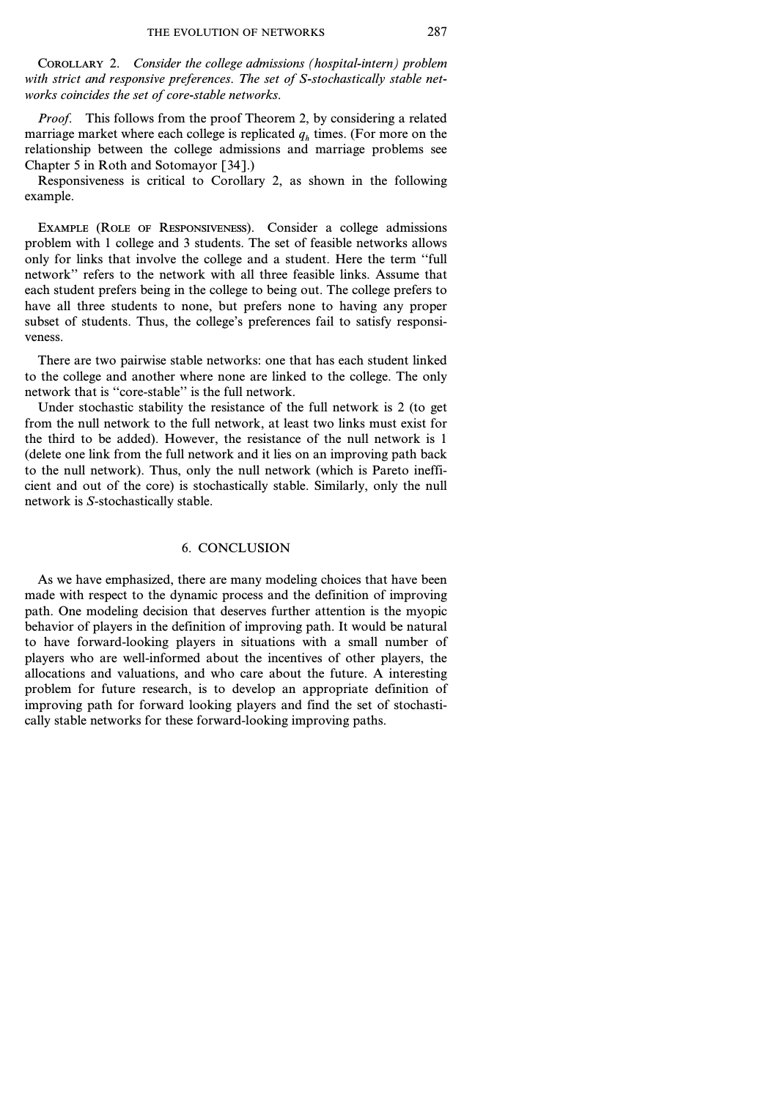Corollary 2. *Consider the college admissions (hospital-intern) problem with strict and responsive preferences. The set of S-stochastically stable networks coincides the set of core-stable networks.*

*Proof.* This follows from the proof Theorem 2, by considering a related marriage market where each college is replicated  $q_h$  times. (For more on the relationship between the college admissions and marriage problems see Chapter 5 in Roth and Sotomayor [34].)

Responsiveness is critical to Corollary 2, as shown in the following example.

Example (Role of Responsiveness). Consider a college admissions problem with 1 college and 3 students. The set of feasible networks allows only for links that involve the college and a student. Here the term ''full network'' refers to the network with all three feasible links. Assume that each student prefers being in the college to being out. The college prefers to have all three students to none, but prefers none to having any proper subset of students. Thus, the college's preferences fail to satisfy responsiveness.

There are two pairwise stable networks: one that has each student linked to the college and another where none are linked to the college. The only network that is ''core-stable'' is the full network.

Under stochastic stability the resistance of the full network is 2 (to get from the null network to the full network, at least two links must exist for the third to be added). However, the resistance of the null network is 1 (delete one link from the full network and it lies on an improving path back to the null network). Thus, only the null network (which is Pareto inefficient and out of the core) is stochastically stable. Similarly, only the null network is *S*-stochastically stable.

#### 6. CONCLUSION

As we have emphasized, there are many modeling choices that have been made with respect to the dynamic process and the definition of improving path. One modeling decision that deserves further attention is the myopic behavior of players in the definition of improving path. It would be natural to have forward-looking players in situations with a small number of players who are well-informed about the incentives of other players, the allocations and valuations, and who care about the future. A interesting problem for future research, is to develop an appropriate definition of improving path for forward looking players and find the set of stochastically stable networks for these forward-looking improving paths.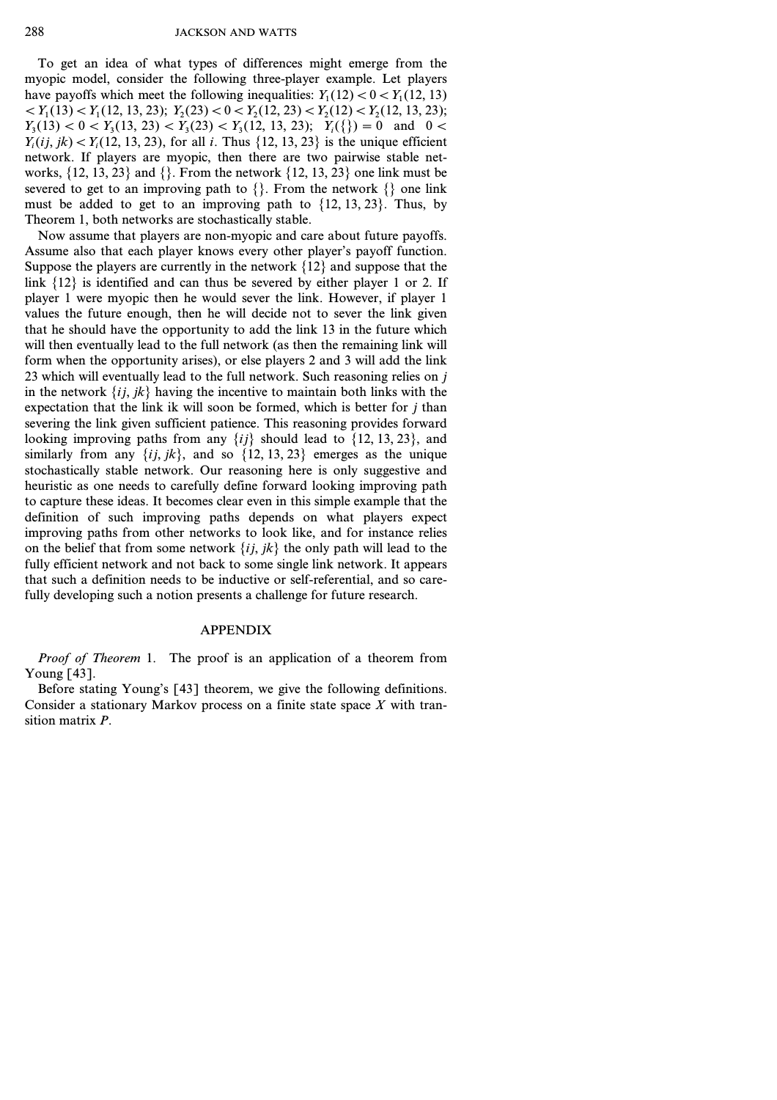To get an idea of what types of differences might emerge from the myopic model, consider the following three-player example. Let players have payoffs which meet the following inequalities:  $Y_1(12) < 0 < Y_1(12, 13)$  $\langle Y_1(13) \times Y_1(12, 13, 23); Y_2(23) \times 0 \times Y_2(12, 23) \times Y_2(12) \times Y_2(12, 13, 23);$  $Y_3(13) < 0 < Y_3(13, 23) < Y_3(23) < Y_3(12, 13, 23);$   $Y_i(\{\}) = 0$  and  $0 <$  $Y_i(i, j, k) < Y_i(12, 13, 23)$ , for all *i*. Thus  $\{12, 13, 23\}$  is the unique efficient network. If players are myopic, then there are two pairwise stable networks, *{12, 13, 23}* and {}. From the network *{12, 13, 23}* one link must be severed to get to an improving path to  $\{\}$ . From the network  $\{\}$  one link must be added to get to an improving path to *{12, 13, 23}*. Thus, by Theorem 1, both networks are stochastically stable.

Now assume that players are non-myopic and care about future payoffs. Assume also that each player knows every other player's payoff function. Suppose the players are currently in the network  $\{12\}$  and suppose that the link  ${12}$  is identified and can thus be severed by either player 1 or 2. If player 1 were myopic then he would sever the link. However, if player 1 values the future enough, then he will decide not to sever the link given that he should have the opportunity to add the link 13 in the future which will then eventually lead to the full network (as then the remaining link will form when the opportunity arises), or else players 2 and 3 will add the link 23 which will eventually lead to the full network. Such reasoning relies on *j* in the network  $\{ij, jk\}$  having the incentive to maintain both links with the expectation that the link ik will soon be formed, which is better for *j* than severing the link given sufficient patience. This reasoning provides forward looking improving paths from any *{ij}* should lead to *{12, 13, 23}*, and similarly from any  $\{ij, jk\}$ , and so  $\{12, 13, 23\}$  emerges as the unique stochastically stable network. Our reasoning here is only suggestive and heuristic as one needs to carefully define forward looking improving path to capture these ideas. It becomes clear even in this simple example that the definition of such improving paths depends on what players expect improving paths from other networks to look like, and for instance relies on the belief that from some network  $\{ij, jk\}$  the only path will lead to the fully efficient network and not back to some single link network. It appears that such a definition needs to be inductive or self-referential, and so carefully developing such a notion presents a challenge for future research.

#### APPENDIX

*Proof of Theorem* 1. The proof is an application of a theorem from Young [43].

Before stating Young's [43] theorem, we give the following definitions. Consider a stationary Markov process on a finite state space *X* with transition matrix *P*.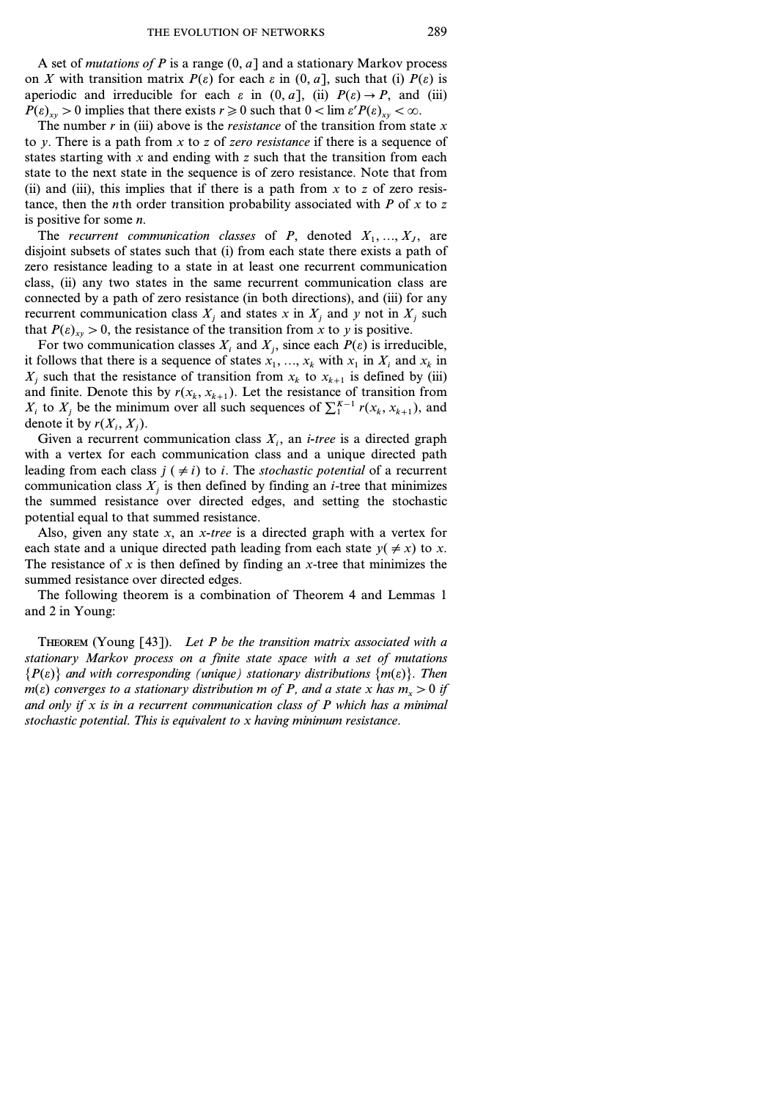A set of *mutations of P* is a range *(0, a]* and a stationary Markov process on *X* with transition matrix  $P(\varepsilon)$  for each  $\varepsilon$  in  $(0, a]$ , such that (i)  $P(\varepsilon)$  is aperiodic and irreducible for each  $\varepsilon$  in  $(0, a]$ , (ii)  $P(\varepsilon) \rightarrow P$ , and (iii)  $P(\varepsilon)_{xy} > 0$  implies that there exists  $r \ge 0$  such that  $0 < \lim_{x \to 0} \varepsilon^{r} P(\varepsilon)_{xy} < \infty$ .

The number  $r$  in (iii) above is the *resistance* of the transition from state  $x$ to *y*. There is a path from *x* to *z* of *zero resistance* if there is a sequence of states starting with *x* and ending with *z* such that the transition from each state to the next state in the sequence is of zero resistance. Note that from (ii) and (iii), this implies that if there is a path from  $x$  to  $z$  of zero resistance, then the *n*th order transition probability associated with *P* of *x* to *z* is positive for some *n*.

The *recurrent communication classes* of *P*, denoted  $X_1, \ldots, X_J$ , are disjoint subsets of states such that (i) from each state there exists a path of zero resistance leading to a state in at least one recurrent communication class, (ii) any two states in the same recurrent communication class are connected by a path of zero resistance (in both directions), and (iii) for any recurrent communication class  $X_i$  and states  $x$  in  $X_j$  and  $y$  not in  $X_j$  such that  $P(\varepsilon)_{xy} > 0$ , the resistance of the transition from *x* to *y* is positive.

For two communication classes  $X_i$  and  $X_j$ , since each  $P(\varepsilon)$  is irreducible, it follows that there is a sequence of states  $x_1, \ldots, x_k$  with  $x_1$  in  $X_i$  and  $x_k$  in  $X_i$  such that the resistance of transition from  $x_k$  to  $x_{k+1}$  is defined by (iii) and finite. Denote this by  $r(x_k, x_{k+1})$ . Let the resistance of transition from *X<sub>i</sub>* to *X<sub>j</sub>* be the minimum over all such sequences of  $\sum_{1}^{K-1} r(x_k, x_{k+1})$ , and denote it by  $r(X_i, X_j)$ .

Given a recurrent communication class  $X_i$ , an *i-tree* is a directed graph with a vertex for each communication class and a unique directed path leading from each class  $j$  ( $\neq i$ ) to *i*. The *stochastic potential* of a recurrent communication class  $X_i$  is then defined by finding an *i*-tree that minimizes the summed resistance over directed edges, and setting the stochastic potential equal to that summed resistance.

Also, given any state *x*, an *x-tree* is a directed graph with a vertex for each state and a unique directed path leading from each state  $y( \neq x)$  to *x*. The resistance of *x* is then defined by finding an *x*-tree that minimizes the summed resistance over directed edges.

The following theorem is a combination of Theorem 4 and Lemmas 1 and 2 in Young:

Theorem (Young [43]). *Let P be the transition matrix associated with a stationary Markov process on a finite state space with a set of mutations {P(e)} and with corresponding (unique) stationary distributions {m(e)}. Then m*(*e*) *converges to a stationary distribution m of P, and a state x has*  $m_r > 0$  *if and only if x is in a recurrent communication class of P which has a minimal stochastic potential. This is equivalent to x having minimum resistance.*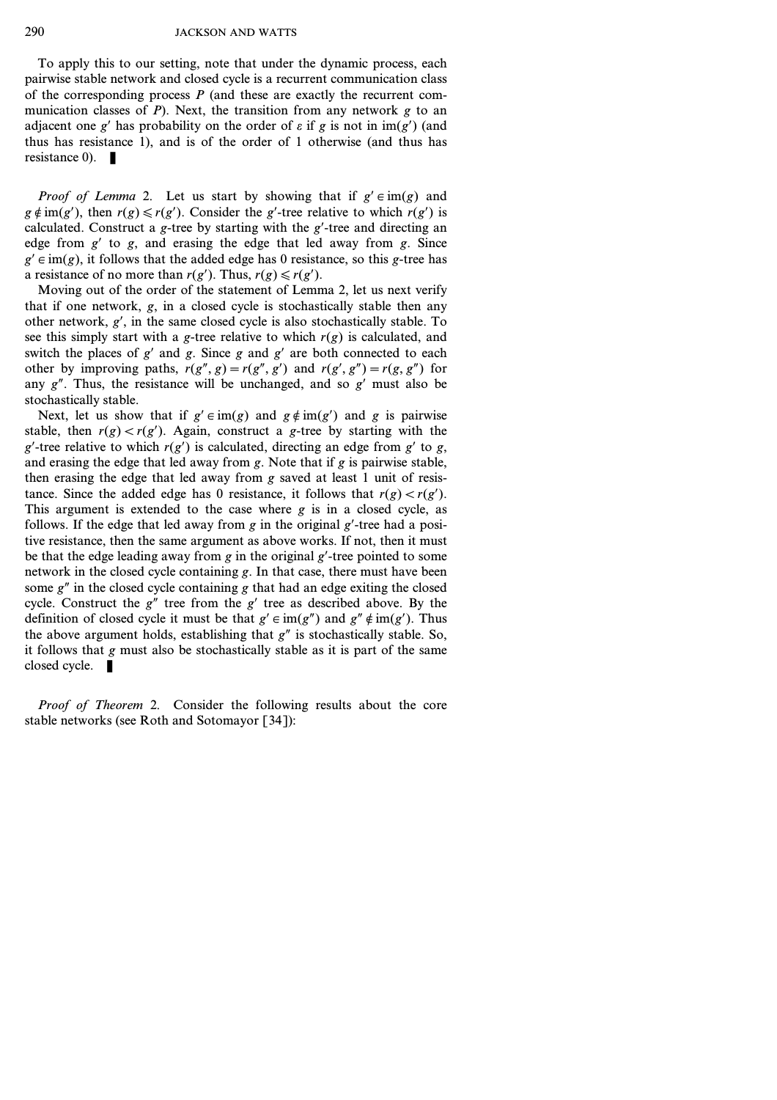To apply this to our setting, note that under the dynamic process, each pairwise stable network and closed cycle is a recurrent communication class of the corresponding process *P* (and these are exactly the recurrent communication classes of *P*). Next, the transition from any network *g* to an adjacent one *g*' has probability on the order of  $\varepsilon$  if *g* is not in im $(g')$  (and thus has resistance 1), and is of the order of 1 otherwise (and thus has resistance  $0$ .  $\blacksquare$ 

*Proof of Lemma* 2. Let us start by showing that if  $g' \in im(g)$  and  $g \notin \text{im}(g')$ , then  $r(g) \le r(g')$ . Consider the *g*'-tree relative to which  $r(g')$  is calculated. Construct a  $g$ -tree by starting with the  $g'$ -tree and directing an edge from  $g'$  to  $g$ , and erasing the edge that led away from  $g$ . Since  $g' \in \text{im}(g)$ , it follows that the added edge has 0 resistance, so this *g*-tree has a resistance of no more than  $r(g')$ . Thus,  $r(g) \le r(g')$ .

Moving out of the order of the statement of Lemma 2, let us next verify that if one network, *g*, in a closed cycle is stochastically stable then any other network, g', in the same closed cycle is also stochastically stable. To see this simply start with a *g*-tree relative to which  $r(g)$  is calculated, and switch the places of  $g'$  and  $g$ . Since  $g$  and  $g'$  are both connected to each other by improving paths,  $r(g'', g) = r(g'', g')$  and  $r(g', g'') = r(g, g'')$  for any  $g''$ . Thus, the resistance will be unchanged, and so  $g'$  must also be stochastically stable.

Next, let us show that if  $g' \in im(g)$  and  $g \notin im(g')$  and *g* is pairwise stable, then  $r(g) < r(g')$ . Again, construct a *g*-tree by starting with the  $g'$ -tree relative to which  $r(g')$  is calculated, directing an edge from  $g'$  to  $g$ , and erasing the edge that led away from *g*. Note that if *g* is pairwise stable, then erasing the edge that led away from *g* saved at least 1 unit of resistance. Since the added edge has 0 resistance, it follows that  $r(g) < r(g')$ . This argument is extended to the case where *g* is in a closed cycle, as follows. If the edge that led away from *g* in the original *g*'-tree had a positive resistance, then the same argument as above works. If not, then it must be that the edge leading away from  $g$  in the original  $g'$ -tree pointed to some network in the closed cycle containing *g*. In that case, there must have been some  $g''$  in the closed cycle containing  $g$  that had an edge exiting the closed cycle. Construct the  $g''$  tree from the  $g'$  tree as described above. By the definition of closed cycle it must be that  $g' \in im(g'')$  and  $g'' \notin im(g')$ . Thus the above argument holds, establishing that  $g''$  is stochastically stable. So, it follows that *g* must also be stochastically stable as it is part of the same closed cycle.

*Proof of Theorem* 2*.* Consider the following results about the core stable networks (see Roth and Sotomayor [34]):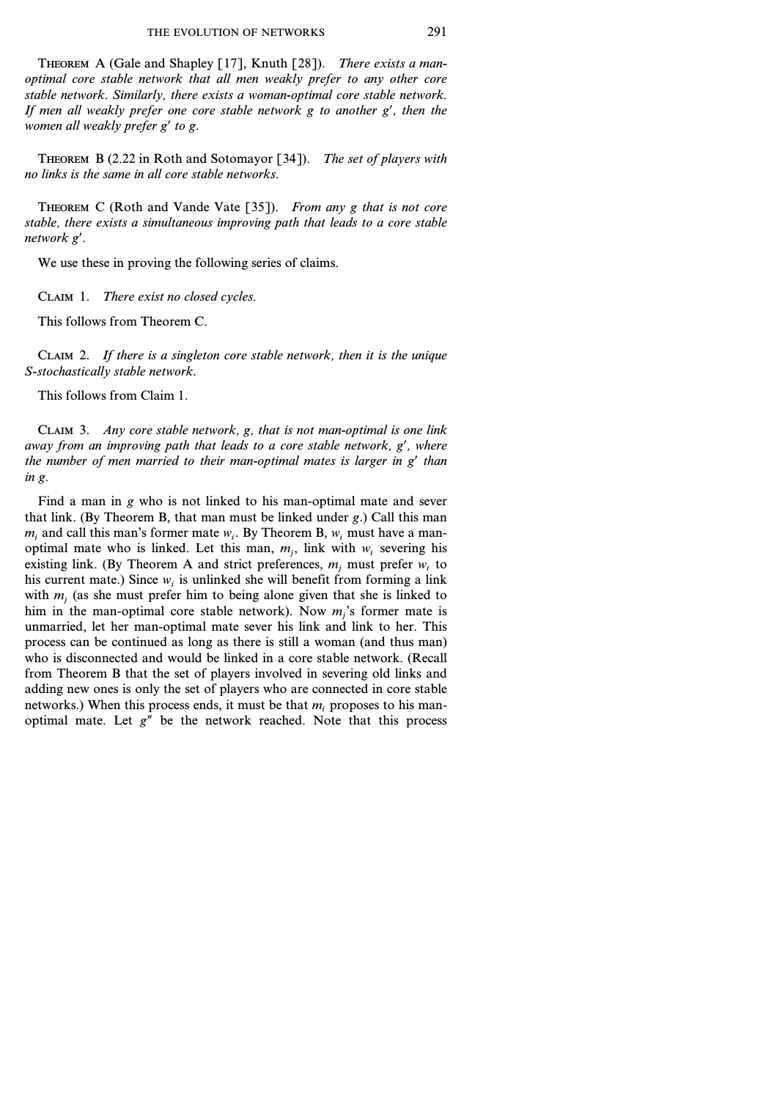THEOREM A (Gale and Shapley [17], Knuth [28]). *There exists a manoptimal core stable network that all men weakly prefer to any other core stable network. Similarly, there exists a woman-optimal core stable network. If men all weakly prefer one core stable network g to another g', then the women all weakly prefer g' to g.* 

Theorem B (2.22 in Roth and Sotomayor [34]). *The set of players with no links is the same in all core stable networks.*

Theorem C (Roth and Vande Vate [35]). *From any g that is not core stable, there exists a simultaneous improving path that leads to a core stable network*  $g'$ .

We use these in proving the following series of claims.

 $CLAIM$  1. 1. *There exist no closed cycles.*

This follows from Theorem C.

Claim 2. *If there is a singleton core stable network, then it is the unique S-stochastically stable network.*

This follows from Claim 1.

Claim 3. *Any core stable network, g, that is not man-optimal is one link away from an improving path that leads to a core stable network, g', where the number of men married to their man-optimal mates is larger in g' than in g.*

Find a man in *g* who is not linked to his man-optimal mate and sever that link. (By Theorem B, that man must be linked under *g*.) Call this man  $m_i$  and call this man's former mate  $w_i$ . By Theorem B,  $w_i$  must have a manoptimal mate who is linked. Let this man,  $m_i$ , link with  $w_i$  severing his existing link. (By Theorem A and strict preferences,  $m_i$  must prefer  $w_i$  to his current mate.) Since  $w_i$  is unlinked she will benefit from forming a link with  $m_i$  (as she must prefer him to being alone given that she is linked to him in the man-optimal core stable network). Now *mj*'s former mate is unmarried, let her man-optimal mate sever his link and link to her. This process can be continued as long as there is still a woman (and thus man) who is disconnected and would be linked in a core stable network. (Recall from Theorem B that the set of players involved in severing old links and adding new ones is only the set of players who are connected in core stable networks.) When this process ends, it must be that *m<sup>i</sup>* proposes to his manoptimal mate. Let  $g''$  be the network reached. Note that this process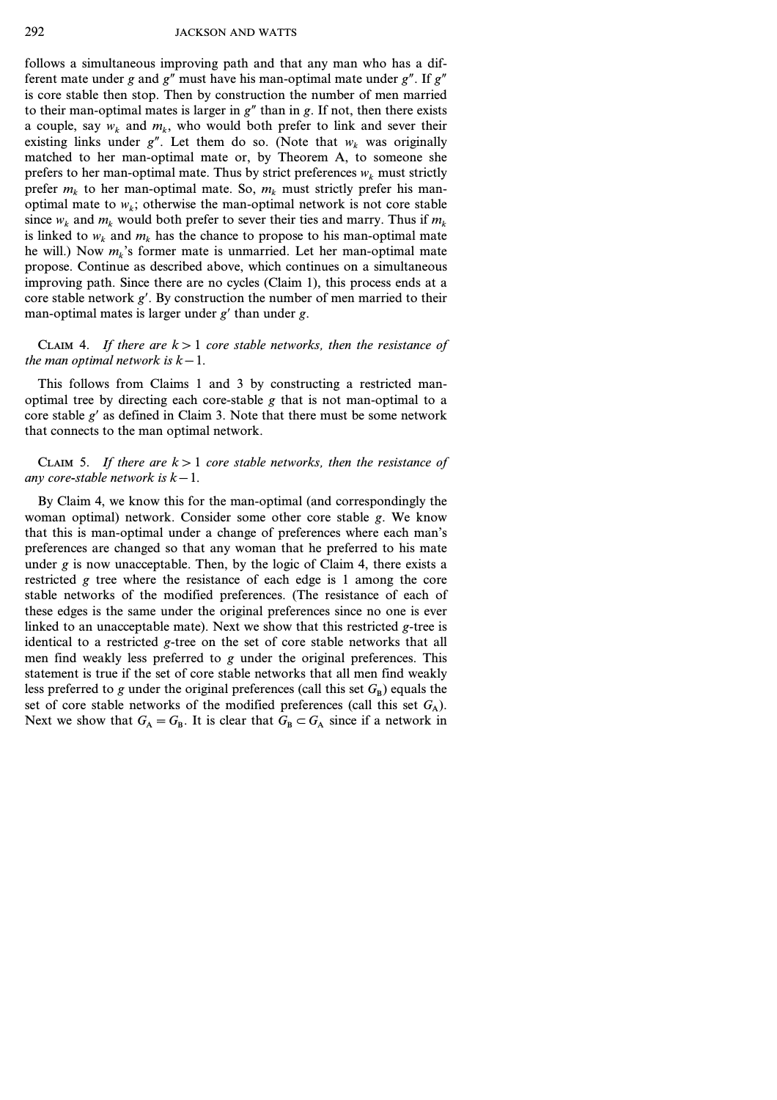follows a simultaneous improving path and that any man who has a different mate under *g* and  $g''$  must have his man-optimal mate under  $g''$ . If  $g''$ is core stable then stop. Then by construction the number of men married to their man-optimal mates is larger in  $g''$  than in  $g$ . If not, then there exists a couple, say  $w_k$  and  $m_k$ , who would both prefer to link and sever their existing links under  $g''$ . Let them do so. (Note that  $w_k$  was originally matched to her man-optimal mate or, by Theorem A, to someone she prefers to her man-optimal mate. Thus by strict preferences  $w_k$  must strictly prefer  $m_k$  to her man-optimal mate. So,  $m_k$  must strictly prefer his manoptimal mate to  $w_k$ ; otherwise the man-optimal network is not core stable since  $w_k$  and  $m_k$  would both prefer to sever their ties and marry. Thus if  $m_k$ is linked to  $w_k$  and  $m_k$  has the chance to propose to his man-optimal mate he will.) Now *mk*'s former mate is unmarried. Let her man-optimal mate propose. Continue as described above, which continues on a simultaneous improving path. Since there are no cycles (Claim 1), this process ends at a core stable network *g'*. By construction the number of men married to their man-optimal mates is larger under  $g'$  than under  $g$ .

## CLAIM 4. *If there are*  $k > 1$  *core stable networks, then the resistance of the man optimal network is*  $k-1$ *.*

This follows from Claims 1 and 3 by constructing a restricted manoptimal tree by directing each core-stable *g* that is not man-optimal to a core stable  $g'$  as defined in Claim 3. Note that there must be some network that connects to the man optimal network.

## CLAIM 5. *If there are*  $k>1$  *core stable networks, then the resistance of any core-stable network is k−1.*

By Claim 4, we know this for the man-optimal (and correspondingly the woman optimal) network. Consider some other core stable *g*. We know that this is man-optimal under a change of preferences where each man's preferences are changed so that any woman that he preferred to his mate under  $g$  is now unacceptable. Then, by the logic of Claim 4, there exists a restricted *g* tree where the resistance of each edge is 1 among the core stable networks of the modified preferences. (The resistance of each of these edges is the same under the original preferences since no one is ever linked to an unacceptable mate). Next we show that this restricted *g*-tree is identical to a restricted *g*-tree on the set of core stable networks that all men find weakly less preferred to *g* under the original preferences. This statement is true if the set of core stable networks that all men find weakly less preferred to *g* under the original preferences (call this set  $G_B$ ) equals the set of core stable networks of the modified preferences (call this set  $G_A$ ). Next we show that  $G_A = G_B$ . It is clear that  $G_B \subset G_A$  since if a network in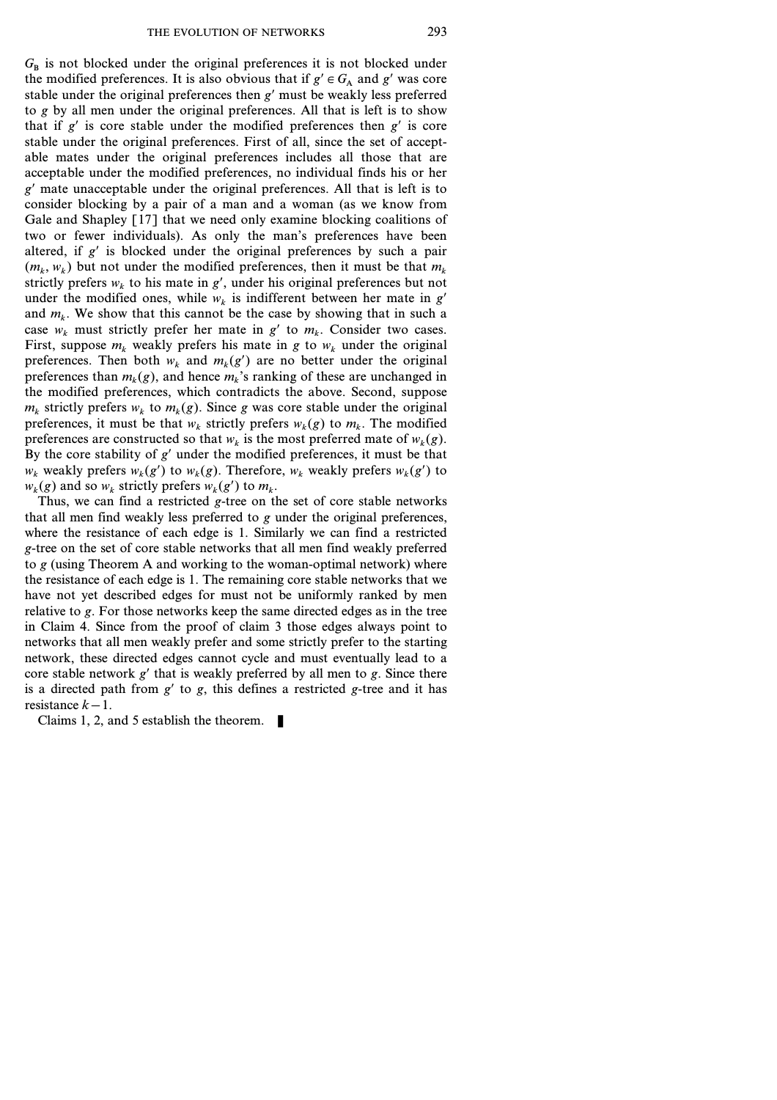$G_{\rm B}$  is not blocked under the original preferences it is not blocked under the modified preferences. It is also obvious that if  $g' \in G_A$  and  $g'$  was core stable under the original preferences then  $g'$  must be weakly less preferred to *g* by all men under the original preferences. All that is left is to show that if  $g'$  is core stable under the modified preferences then  $g'$  is core stable under the original preferences. First of all, since the set of acceptable mates under the original preferences includes all those that are acceptable under the modified preferences, no individual finds his or her  $g'$  mate unacceptable under the original preferences. All that is left is to consider blocking by a pair of a man and a woman (as we know from Gale and Shapley [17] that we need only examine blocking coalitions of two or fewer individuals). As only the man's preferences have been altered, if *g'* is blocked under the original preferences by such a pair  $(m_k, w_k)$  but not under the modified preferences, then it must be that  $m_k$ strictly prefers  $w_k$  to his mate in  $g'$ , under his original preferences but not under the modified ones, while  $w_k$  is indifferent between her mate in  $g'$ and  $m_k$ . We show that this cannot be the case by showing that in such a case  $w_k$  must strictly prefer her mate in  $g'$  to  $m_k$ . Consider two cases. First, suppose  $m_k$  weakly prefers his mate in *g* to  $w_k$  under the original preferences. Then both  $w_k$  and  $m_k(g')$  are no better under the original preferences than  $m_k(g)$ , and hence  $m_k$ 's ranking of these are unchanged in the modified preferences, which contradicts the above. Second, suppose  $m_k$  strictly prefers  $w_k$  to  $m_k(g)$ . Since *g* was core stable under the original preferences, it must be that  $w_k$  strictly prefers  $w_k(g)$  to  $m_k$ . The modified preferences are constructed so that  $w_k$  is the most preferred mate of  $w_k(g)$ . By the core stability of  $g'$  under the modified preferences, it must be that *w<sub>k</sub>* weakly prefers  $w_k(g')$  to  $w_k(g)$ . Therefore,  $w_k$  weakly prefers  $w_k(g')$  to  $w_k(g)$  and so  $w_k$  strictly prefers  $w_k(g')$  to  $m_k$ .

Thus, we can find a restricted *g*-tree on the set of core stable networks that all men find weakly less preferred to *g* under the original preferences, where the resistance of each edge is 1. Similarly we can find a restricted *g*-tree on the set of core stable networks that all men find weakly preferred to *g* (using Theorem A and working to the woman-optimal network) where the resistance of each edge is 1. The remaining core stable networks that we have not yet described edges for must not be uniformly ranked by men relative to *g*. For those networks keep the same directed edges as in the tree in Claim 4. Since from the proof of claim 3 those edges always point to networks that all men weakly prefer and some strictly prefer to the starting network, these directed edges cannot cycle and must eventually lead to a core stable network  $g'$  that is weakly preferred by all men to  $g$ . Since there is a directed path from  $g'$  to  $g$ , this defines a restricted  $g$ -tree and it has resistance *k−1*.

Claims 1, 2, and 5 establish the theorem.  $\blacksquare$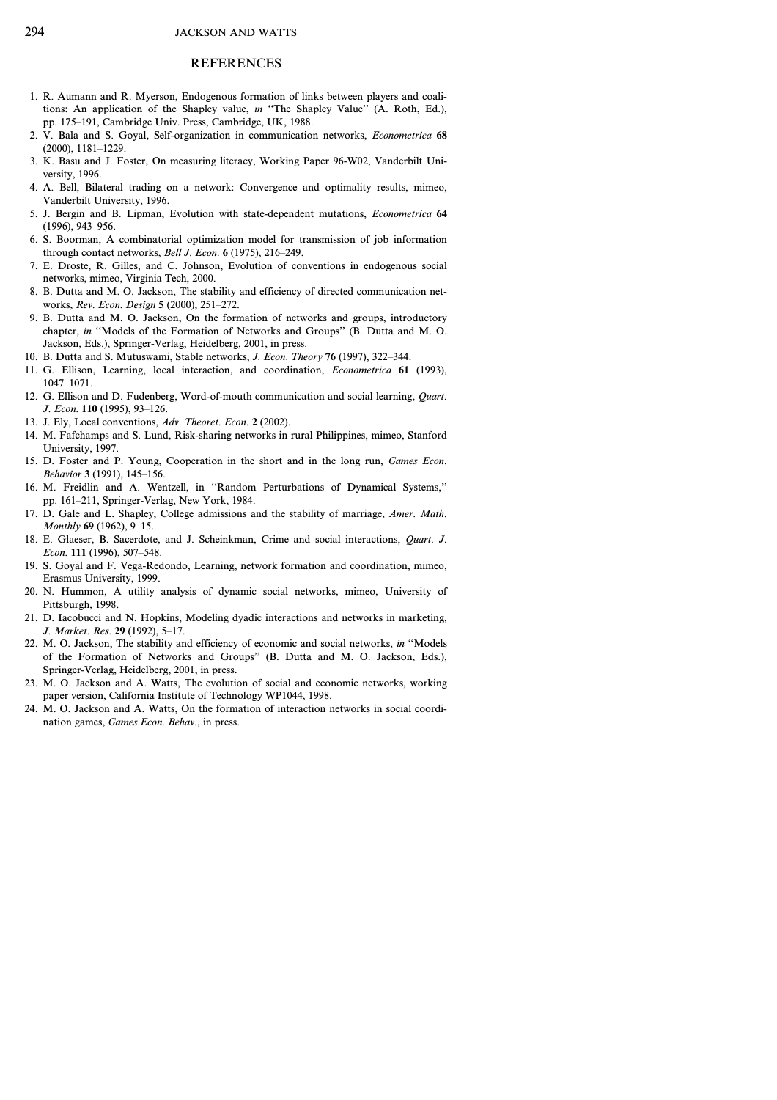#### 294 JACKSON AND WATTS

#### REFERENCES

- 1. R. Aumann and R. Myerson, Endogenous formation of links between players and coalitions: An application of the Shapley value, *in* ''The Shapley Value'' (A. Roth, Ed.), pp. 175–191, Cambridge Univ. Press, Cambridge, UK, 1988.
- 2. V. Bala and S. Goyal, Self-organization in communication networks, *Econometrica* **68** (2000), 1181–1229.
- 3. K. Basu and J. Foster, On measuring literacy, Working Paper 96-W02, Vanderbilt University, 1996.
- 4. A. Bell, Bilateral trading on a network: Convergence and optimality results, mimeo, Vanderbilt University, 1996.
- 5. J. Bergin and B. Lipman, Evolution with state-dependent mutations, *Econometrica* **64** (1996), 943–956.
- 6. S. Boorman, A combinatorial optimization model for transmission of job information through contact networks, *Bell J. Econ.* **6** (1975), 216–249.
- 7. E. Droste, R. Gilles, and C. Johnson, Evolution of conventions in endogenous social networks, mimeo, Virginia Tech, 2000.
- 8. B. Dutta and M. O. Jackson, The stability and efficiency of directed communication networks, *Rev. Econ. Design* **5** (2000), 251–272.
- 9. B. Dutta and M. O. Jackson, On the formation of networks and groups, introductory chapter, *in* ''Models of the Formation of Networks and Groups'' (B. Dutta and M. O. Jackson, Eds.), Springer-Verlag, Heidelberg, 2001, in press.
- 10. B. Dutta and S. Mutuswami, Stable networks, *J. Econ. Theory* **76** (1997), 322–344.
- 11. G. Ellison, Learning, local interaction, and coordination, *Econometrica* **61** (1993), 1047–1071.
- 12. G. Ellison and D. Fudenberg, Word-of-mouth communication and social learning, *Quart. J. Econ.* **110** (1995), 93–126.
- 13. J. Ely, Local conventions, *Adv. Theoret. Econ.* **2** (2002).
- 14. M. Fafchamps and S. Lund, Risk-sharing networks in rural Philippines, mimeo, Stanford University, 1997.
- 15. D. Foster and P. Young, Cooperation in the short and in the long run, *Games Econ. Behavior* **3** (1991), 145–156.
- 16. M. Freidlin and A. Wentzell, in ''Random Perturbations of Dynamical Systems,'' pp. 161–211, Springer-Verlag, New York, 1984.
- 17. D. Gale and L. Shapley, College admissions and the stability of marriage, *Amer. Math. Monthly* **69** (1962), 9–15.
- 18. E. Glaeser, B. Sacerdote, and J. Scheinkman, Crime and social interactions, *Quart. J. Econ.* **111** (1996), 507–548.
- 19. S. Goyal and F. Vega-Redondo, Learning, network formation and coordination, mimeo, Erasmus University, 1999.
- 20. N. Hummon, A utility analysis of dynamic social networks, mimeo, University of Pittsburgh, 1998.
- 21. D. Iacobucci and N. Hopkins, Modeling dyadic interactions and networks in marketing, *J. Market. Res.* **29** (1992), 5–17.
- 22. M. O. Jackson, The stability and efficiency of economic and social networks, *in* ''Models of the Formation of Networks and Groups'' (B. Dutta and M. O. Jackson, Eds.), Springer-Verlag, Heidelberg, 2001, in press.
- 23. M. O. Jackson and A. Watts, The evolution of social and economic networks, working paper version, California Institute of Technology WP1044, 1998.
- 24. M. O. Jackson and A. Watts, On the formation of interaction networks in social coordination games, *Games Econ. Behav.*, in press.